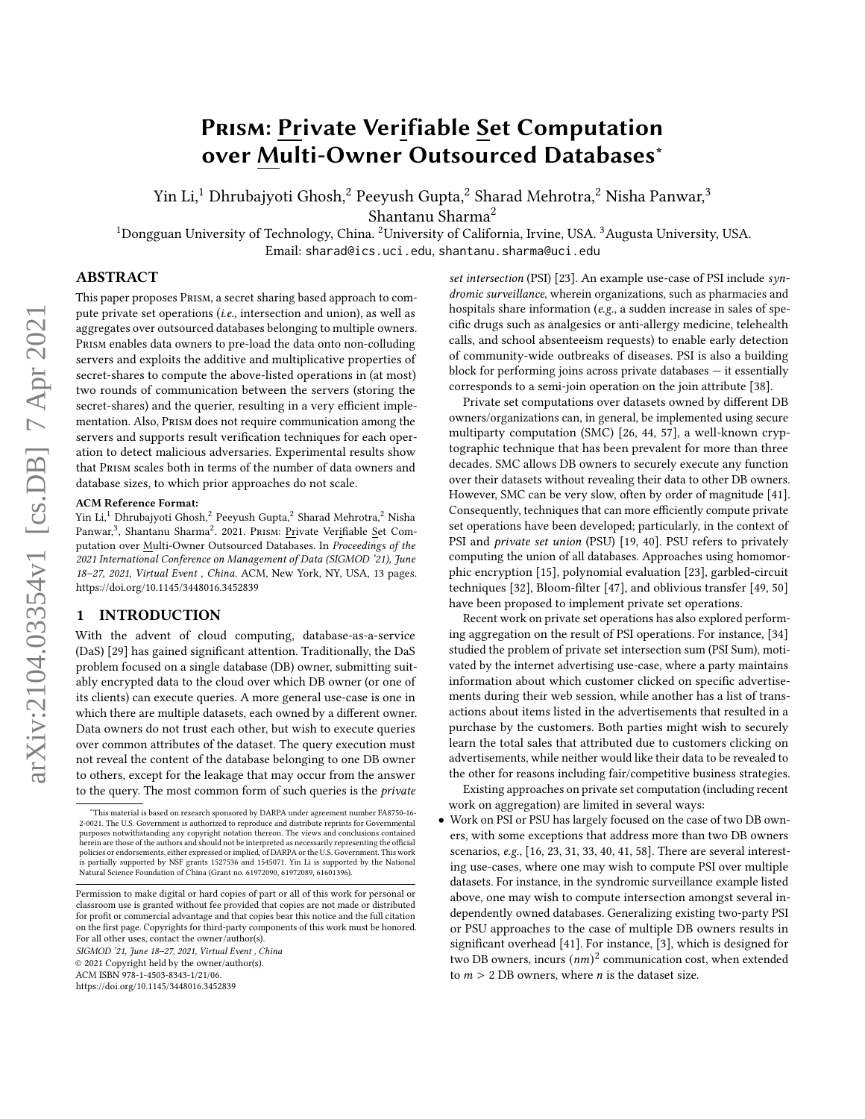# <span id="page-0-0"></span>Prism: Private Verifiable Set Computation over Multi-Owner Outsourced Databases<sup>∗</sup>

Yin Li,<sup>1</sup> Dhrubajyoti Ghosh,<sup>2</sup> Peeyush Gupta,<sup>2</sup> Sharad Mehrotra,<sup>2</sup> Nisha Panwar,<sup>3</sup>

Shantanu Sharma<sup>2</sup>

<sup>1</sup>Dongguan University of Technology, China. <sup>2</sup>University of California, Irvine, USA. <sup>3</sup>Augusta University, USA. Email: sharad@ics.uci.edu, shantanu.sharma@uci.edu

## ABSTRACT

This paper proposes Prism, a secret sharing based approach to compute private set operations (i.e., intersection and union), as well as aggregates over outsourced databases belonging to multiple owners. Prism enables data owners to pre-load the data onto non-colluding servers and exploits the additive and multiplicative properties of secret-shares to compute the above-listed operations in (at most) two rounds of communication between the servers (storing the secret-shares) and the querier, resulting in a very efficient implementation. Also, Prism does not require communication among the servers and supports result verification techniques for each operation to detect malicious adversaries. Experimental results show that Prism scales both in terms of the number of data owners and database sizes, to which prior approaches do not scale.

#### ACM Reference Format:

Yin Li,<sup>1</sup> Dhrubajyoti Ghosh,<sup>2</sup> Peeyush Gupta,<sup>2</sup> Sharad Mehrotra,<sup>2</sup> Nisha Panwar,<sup>3</sup>, Shantanu Sharma<sup>2</sup>. 2021. Prism: <u>Pr</u>ivate Ver<u>i</u>fiable <u>S</u>et Computation over Multi-Owner Outsourced Databases. In Proceedings of the 2021 International Conference on Management of Data (SIGMOD '21), June 18-27, 2021, Virtual Event, China. ACM, New York, NY, USA, [13](#page-12-0) pages. <https://doi.org/10.1145/3448016.3452839>

#### 1 INTRODUCTION

With the advent of cloud computing, database-as-a-service (DaS) [\[29\]](#page-12-1) has gained significant attention. Traditionally, the DaS problem focused on a single database (DB) owner, submitting suitably encrypted data to the cloud over which DB owner (or one of its clients) can execute queries. A more general use-case is one in which there are multiple datasets, each owned by a different owner. Data owners do not trust each other, but wish to execute queries over common attributes of the dataset. The query execution must not reveal the content of the database belonging to one DB owner to others, except for the leakage that may occur from the answer to the query. The most common form of such queries is the private

SIGMOD '21, June 18–27, 2021, Virtual Event , China © 2021 Copyright held by the owner/author(s).

set intersection (PSI) [\[23\]](#page-12-2). An example use-case of PSI include syndromic surveillance, wherein organizations, such as pharmacies and hospitals share information (e.g., a sudden increase in sales of specific drugs such as analgesics or anti-allergy medicine, telehealth calls, and school absenteeism requests) to enable early detection of community-wide outbreaks of diseases. PSI is also a building block for performing joins across private databases — it essentially corresponds to a semi-join operation on the join attribute [\[38\]](#page-12-3).

Private set computations over datasets owned by different DB owners/organizations can, in general, be implemented using secure multiparty computation (SMC) [\[26,](#page-12-4) [44,](#page-12-5) [57\]](#page-12-6), a well-known cryptographic technique that has been prevalent for more than three decades. SMC allows DB owners to securely execute any function over their datasets without revealing their data to other DB owners. However, SMC can be very slow, often by order of magnitude [\[41\]](#page-12-7). Consequently, techniques that can more efficiently compute private set operations have been developed; particularly, in the context of PSI and private set union (PSU) [\[19,](#page-12-8) [40\]](#page-12-9). PSU refers to privately computing the union of all databases. Approaches using homomorphic encryption [\[15\]](#page-12-10), polynomial evaluation [\[23\]](#page-12-2), garbled-circuit techniques [\[32\]](#page-12-11), Bloom-filter [\[47\]](#page-12-12), and oblivious transfer [\[49,](#page-12-13) [50\]](#page-12-14) have been proposed to implement private set operations.

Recent work on private set operations has also explored performing aggregation on the result of PSI operations. For instance, [\[34\]](#page-12-15) studied the problem of private set intersection sum (PSI Sum), motivated by the internet advertising use-case, where a party maintains information about which customer clicked on specific advertisements during their web session, while another has a list of transactions about items listed in the advertisements that resulted in a purchase by the customers. Both parties might wish to securely learn the total sales that attributed due to customers clicking on advertisements, while neither would like their data to be revealed to the other for reasons including fair/competitive business strategies.

Existing approaches on private set computation (including recent work on aggregation) are limited in several ways:

• Work on PSI or PSU has largely focused on the case of two DB owners, with some exceptions that address more than two DB owners scenarios, e.g., [\[16,](#page-12-16) [23,](#page-12-2) [31,](#page-12-17) [33,](#page-12-18) [40,](#page-12-9) [41,](#page-12-7) [58\]](#page-12-19). There are several interesting use-cases, where one may wish to compute PSI over multiple datasets. For instance, in the syndromic surveillance example listed above, one may wish to compute intersection amongst several independently owned databases. Generalizing existing two-party PSI or PSU approaches to the case of multiple DB owners results in significant overhead [\[41\]](#page-12-7). For instance, [\[3\]](#page-12-20), which is designed for two DB owners, incurs  $(nm)^2$  communication cost, when extended to  $m > 2$  DB owners, where *n* is the dataset size.

<sup>∗</sup>This material is based on research sponsored by DARPA under agreement number FA8750-16- 2-0021. The U.S. Government is authorized to reproduce and distribute reprints for Governmental purposes notwithstanding any copyright notation thereon. The views and conclusions contained herein are those of the authors and should not be interpreted as necessarily representing the official policies or endorsements, either expressed or implied, of DARPA or the U.S. Government. This work is partially supported by NSF grants 1527536 and 1545071. Yin Li is supported by the National Natural Science Foundation of China (Grant no. 61972090, 61972089, 61601396).

Permission to make digital or hard copies of part or all of this work for personal or classroom use is granted without fee provided that copies are not made or distributed for profit or commercial advantage and that copies bear this notice and the full citation on the first page. Copyrights for third-party components of this work must be honored. For all other uses, contact the owner/author(s).

ACM ISBN 978-1-4503-8343-1/21/06.

<https://doi.org/10.1145/3448016.3452839>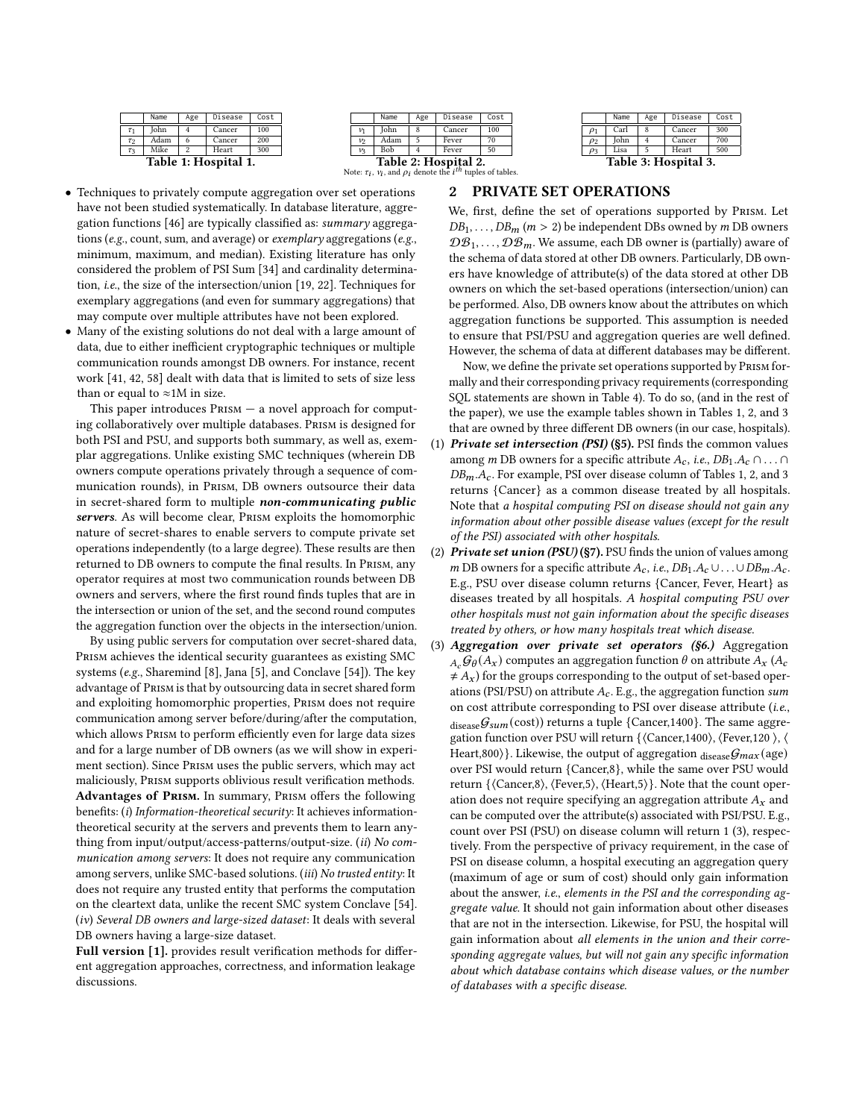<span id="page-1-0"></span>

|          | Name                 | Age                     | Disease | Cost |  |  |  |  |  |
|----------|----------------------|-------------------------|---------|------|--|--|--|--|--|
| $\tau_1$ | John                 |                         | Cancer  | 100  |  |  |  |  |  |
| $\tau_2$ | Adam                 | 6                       | Cancer  | 200  |  |  |  |  |  |
| $\tau_3$ | Mike                 | $\overline{\mathbf{c}}$ | Heart   | 300  |  |  |  |  |  |
|          | Table 1: Hospital 1. |                         |         |      |  |  |  |  |  |

|                                              | Name | Age | Disease | Cost |  |  |  |  |
|----------------------------------------------|------|-----|---------|------|--|--|--|--|
| 1⁄1                                          | John |     | Cancer  | 100  |  |  |  |  |
| 功.                                           | Adam |     | Fever   | 70   |  |  |  |  |
| 12                                           | Bob  |     | Fever   | 50   |  |  |  |  |
| Table 2: Hospital 2.<br>$-$<br>$\sim$ $\sim$ |      |     |         |      |  |  |  |  |

|                          | Name | Age | Disease | Cost |  |  |  |  |
|--------------------------|------|-----|---------|------|--|--|--|--|
| $\rho_1$                 | Carl |     | Cancer  | 300  |  |  |  |  |
| $\rho_2$                 | John |     | Cancer  | 700  |  |  |  |  |
| $\rho_3$                 | Lisa | 5   | Heart   | 500  |  |  |  |  |
| <b>Table 3: Hospital</b> |      |     |         |      |  |  |  |  |

**Note:**  $\tau_i$ ,  $\nu_i$ , and  $\rho_i$  denote the *i*<sup>th</sup> tuples of tables.

## <span id="page-1-1"></span>2 PRIVATE SET OPERATIONS

- Techniques to privately compute aggregation over set operations have not been studied systematically. In database literature, aggregation functions [\[46\]](#page-12-21) are typically classified as: summary aggregations (e.g., count, sum, and average) or exemplary aggregations (e.g., minimum, maximum, and median). Existing literature has only considered the problem of PSI Sum [\[34\]](#page-12-15) and cardinality determination, i.e., the size of the intersection/union [\[19,](#page-12-8) [22\]](#page-12-22). Techniques for exemplary aggregations (and even for summary aggregations) that may compute over multiple attributes have not been explored.
- Many of the existing solutions do not deal with a large amount of data, due to either inefficient cryptographic techniques or multiple communication rounds amongst DB owners. For instance, recent work [\[41,](#page-12-7) [42,](#page-12-23) [58\]](#page-12-19) dealt with data that is limited to sets of size less than or equal to  $\approx$ 1M in size.

This paper introduces  $P$ RISM  $-$  a novel approach for computing collaboratively over multiple databases. Prism is designed for both PSI and PSU, and supports both summary, as well as, exemplar aggregations. Unlike existing SMC techniques (wherein DB owners compute operations privately through a sequence of communication rounds), in Prism, DB owners outsource their data in secret-shared form to multiple non-communicating public servers. As will become clear, PRISM exploits the homomorphic nature of secret-shares to enable servers to compute private set operations independently (to a large degree). These results are then returned to DB owners to compute the final results. In Prism, any operator requires at most two communication rounds between DB owners and servers, where the first round finds tuples that are in the intersection or union of the set, and the second round computes the aggregation function over the objects in the intersection/union.

By using public servers for computation over secret-shared data, Prism achieves the identical security guarantees as existing SMC systems (e.g., Sharemind [\[8\]](#page-12-24), Jana [\[5\]](#page-12-25), and Conclave [\[54\]](#page-12-26)). The key advantage of Prism is that by outsourcing data in secret shared form and exploiting homomorphic properties, Prism does not require communication among server before/during/after the computation, which allows PRISM to perform efficiently even for large data sizes and for a large number of DB owners (as we will show in experiment section). Since Prism uses the public servers, which may act maliciously, Prism supports oblivious result verification methods. Advantages of Prism. In summary, Prism offers the following benefits: (i) Information-theoretical security: It achieves informationtheoretical security at the servers and prevents them to learn anything from input/output/access-patterns/output-size. (ii) No communication among servers: It does not require any communication among servers, unlike SMC-based solutions. (iii) No trusted entity: It does not require any trusted entity that performs the computation on the cleartext data, unlike the recent SMC system Conclave [\[54\]](#page-12-26). (iv) Several DB owners and large-sized dataset: It deals with several DB owners having a large-size dataset.

Full version [\[1\]](#page-12-27). provides result verification methods for different aggregation approaches, correctness, and information leakage discussions.

We, first, define the set of operations supported by Prism. Let  $DB_1, \ldots, DB_m$  ( $m > 2$ ) be independent DBs owned by  $m$  DB owners  $DB_1, \ldots, DB_m$ . We assume, each DB owner is (partially) aware of the schema of data stored at other DB owners. Particularly, DB owners have knowledge of attribute(s) of the data stored at other DB owners on which the set-based operations (intersection/union) can be performed. Also, DB owners know about the attributes on which aggregation functions be supported. This assumption is needed to ensure that PSI/PSU and aggregation queries are well defined. However, the schema of data at different databases may be different.

Now, we define the private set operations supported by Prism formally and their corresponding privacy requirements (corresponding SQL statements are shown in Table [4\)](#page-2-0). To do so, (and in the rest of the paper), we use the example tables shown in Tables [1, 2,](#page-1-0) and [3](#page-1-0) that are owned by three different DB owners (in our case, hospitals).

- (1) Private set intersection (PSI) ([§5\)](#page-4-0). PSI finds the common values among *m* DB owners for a specific attribute  $A_c$ , *i.e.*,  $DB_1.A_c \cap ... \cap$  $DB_m.A_c$ . For example, PSI over disease column of Tables [1, 2,](#page-1-0) and [3](#page-1-0) returns {Cancer} as a common disease treated by all hospitals. Note that a hospital computing PSI on disease should not gain any information about other possible disease values (except for the result of the PSI) associated with other hospitals.
- (2) Private set union (PSU) ([§7\)](#page-9-0). PSU finds the union of values among m DB owners for a specific attribute  $A_c$ , i.e.,  $DB_1.A_c \cup ... \cup DB_m.A_c$ . E.g., PSU over disease column returns {Cancer, Fever, Heart} as diseases treated by all hospitals. A hospital computing PSU over other hospitals must not gain information about the specific diseases treated by others, or how many hospitals treat which disease.
- (3) Aggregation over private set operators ([§6.](#page-6-0)) Aggregation  $A_c G_{\theta}(A_{\scriptscriptstyle{X}})$  computes an aggregation function  $\theta$  on attribute  $A_{\scriptscriptstyle{X}}$  ( $A_c$  $\neq$  A<sub>x</sub>) for the groups corresponding to the output of set-based operations (PSI/PSU) on attribute  $A_c$ . E.g., the aggregation function sum on cost attribute corresponding to PSI over disease attribute (i.e.,  $_{\text{disease}}\mathcal{G}_{\text{sum}}(\text{cost})$  returns a tuple {Cancer,1400}. The same aggregation function over PSU will return {⟨Cancer,1400⟩, ⟨Fever,120 ⟩, ⟨ Heart,800)}. Likewise, the output of aggregation  $_{\text{disease}}\mathcal{G}_{max}(\text{age})$ over PSI would return {Cancer,8}, while the same over PSU would return {⟨Cancer,8⟩, ⟨Fever,5⟩, ⟨Heart,5⟩}. Note that the count operation does not require specifying an aggregation attribute  $A_x$  and can be computed over the attribute(s) associated with PSI/PSU. E.g., count over PSI (PSU) on disease column will return 1 (3), respectively. From the perspective of privacy requirement, in the case of PSI on disease column, a hospital executing an aggregation query (maximum of age or sum of cost) should only gain information about the answer, i.e., elements in the PSI and the corresponding aggregate value. It should not gain information about other diseases that are not in the intersection. Likewise, for PSU, the hospital will gain information about all elements in the union and their corresponding aggregate values, but will not gain any specific information about which database contains which disease values, or the number of databases with a specific disease.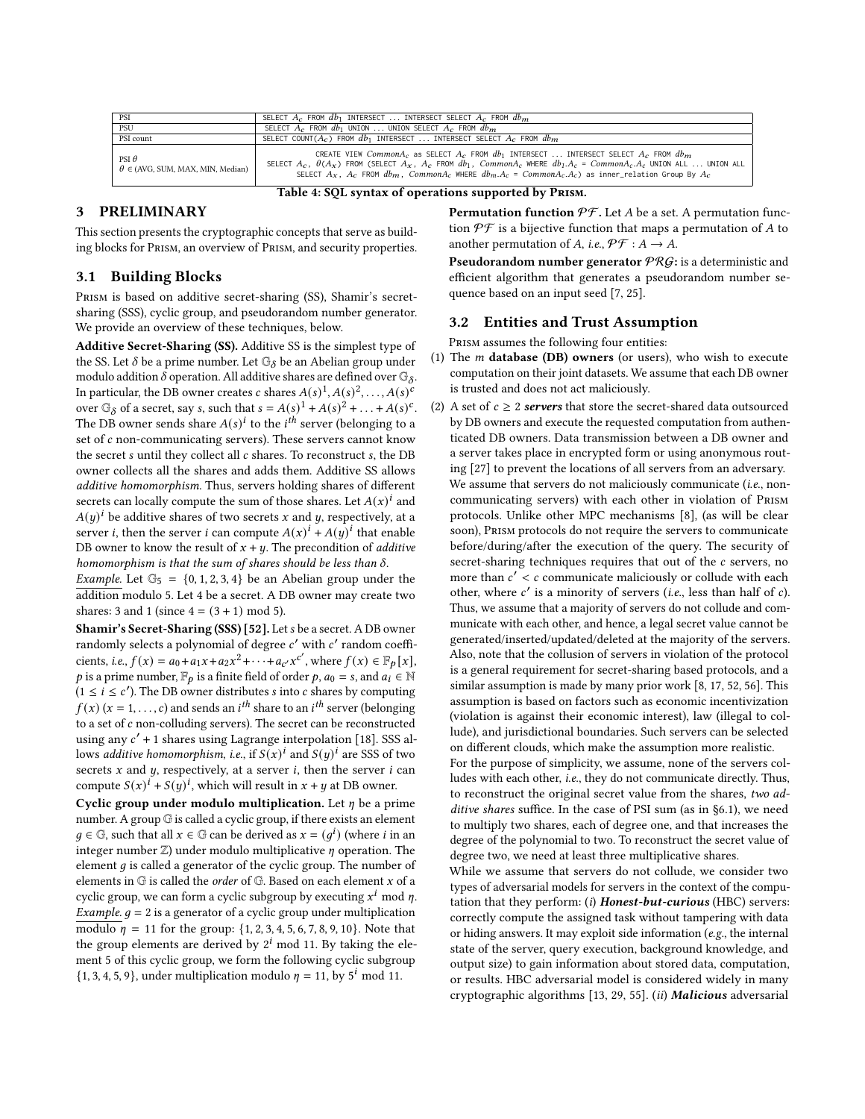<span id="page-2-0"></span>

| PSI                                                       | SELECT $A_c$ from $db_1$ intersect  Intersect select $A_c$ from $db_m$                                                                                                                                                                                                                                                                                                |  |  |  |  |  |
|-----------------------------------------------------------|-----------------------------------------------------------------------------------------------------------------------------------------------------------------------------------------------------------------------------------------------------------------------------------------------------------------------------------------------------------------------|--|--|--|--|--|
| PSU                                                       | SELECT $A_c$ FROM $db_1$ UNION  UNION SELECT $A_c$ FROM $db_m$                                                                                                                                                                                                                                                                                                        |  |  |  |  |  |
| PSI count                                                 | SELECT COUNT( $A_c$ ) FROM $db_1$ INTERSECT  INTERSECT SELECT $A_c$ FROM $db_m$                                                                                                                                                                                                                                                                                       |  |  |  |  |  |
| PSI $\theta$<br>$\theta \in (AVG, SUM, MAX, MIN, Median)$ | CREATE VIEW Common $A_c$ as SELECT $A_c$ FROM $db_1$ INTERSECT  INTERSECT SELECT $A_c$ FROM $db_m$<br>SELECT $A_c$ , $\theta(A_r)$ FROM (SELECT $A_r$ , $A_c$ FROM $db_1$ , Common $A_c$ WHERE $db_1.A_c = CommonA_c.A_c$ UNION ALL  UNION ALL<br>SELECT $A_x$ , $A_c$ FROM $db_m$ , Common $A_c$ WHERE $db_m.A_c = CommonA_c.A_c$ ) as inner relation Group By $A_c$ |  |  |  |  |  |
| Table 4: SOL syntax of operations supported by PRISM.     |                                                                                                                                                                                                                                                                                                                                                                       |  |  |  |  |  |

#### 3 PRELIMINARY

This section presents the cryptographic concepts that serve as building blocks for Prism, an overview of Prism, and security properties.

## <span id="page-2-2"></span>3.1 Building Blocks

Prism is based on additive secret-sharing (SS), Shamir's secretsharing (SSS), cyclic group, and pseudorandom number generator. We provide an overview of these techniques, below.

Additive Secret-Sharing (SS). Additive SS is the simplest type of the SS. Let  $\delta$  be a prime number. Let  $\mathbb{G}_{\delta}$  be an Abelian group under modulo addition  $\delta$  operation. All additive shares are defined over  $\mathbb{G}_\delta.$ In particular, the DB owner creates c shares  $A(s)^1, A(s)^2, \ldots, A(s)^c$ over  $\mathbb{G}_{\delta}$  of a secret, say s, such that  $s = A(s)^{1} + A(s)^{2} + \ldots + A(s)^{c}$ . The DB owner sends share  $A(s)^i$  to the  $i^{th}$  server (belonging to a set of  $c$  non-communicating servers). These servers cannot know the secret  $s$  until they collect all  $c$  shares. To reconstruct  $s$ , the DB owner collects all the shares and adds them. Additive SS allows additive homomorphism. Thus, servers holding shares of different secrets can locally compute the sum of those shares. Let  $A(x)^i$  and  $A(y)^i$  be additive shares of two secrets x and y, respectively, at a server *i*, then the server *i* can compute  $A(x)^{i} + A(y)^{i}$  that enable DB owner to know the result of  $x + y$ . The precondition of *additive* homomorphism is that the sum of shares should be less than  $\delta$ .

Example. Let  $\mathbb{G}_5 = \{0, 1, 2, 3, 4\}$  be an Abelian group under the addition modulo 5. Let 4 be a secret. A DB owner may create two shares: 3 and 1 (since  $4 = (3 + 1) \text{ mod } 5$ ).

Shamir's Secret-Sharing (SSS) [\[52\]](#page-12-28). Let s be a secret. A DB owner randomly selects a polynomial of degree  $c'$  with  $c'$  random coefficients, *i.e.*,  $f(x) = a_0 + a_1x + a_2x^2 + \cdots + a_{c'}x^{c'}$ , where  $f(x) \in \mathbb{F}_p[x]$ , p is a prime number,  $\mathbb{F}_p$  is a finite field of order p,  $a_0 = s$ , and  $a_i \in \mathbb{N}$  $(1 \le i \le c')$ . The DB owner distributes s into c shares by computing  $f(x)$   $(x = 1, \ldots, c)$  and sends an  $i^{th}$  share to an  $i^{th}$  server (belonging to a set of  $c$  non-colluding servers). The secret can be reconstructed using any  $c'$  + 1 shares using Lagrange interpolation [\[18\]](#page-12-29). SSS allows additive homomorphism, i.e., if  $S(x)^i$  and  $S(y)^i$  are SSS of two secrets  $x$  and  $y$ , respectively, at a server  $i$ , then the server  $i$  can compute  $S(x)^{i} + S(y)^{i}$ , which will result in  $x + y$  at DB owner.

Cyclic group under modulo multiplication. Let  $\eta$  be a prime number. A group G is called a cyclic group, if there exists an element  $g \in \mathbb{G}$ , such that all  $x \in \mathbb{G}$  can be derived as  $x = (g^i)$  (where *i* in an integer number  $\mathbb{Z}$ ) under modulo multiplicative  $\eta$  operation. The element  $q$  is called a generator of the cyclic group. The number of elements in  $G$  is called the *order* of  $G$ . Based on each element  $x$  of a cyclic group, we can form a cyclic subgroup by executing  $x^i$  mod  $\eta$ . *Example.*  $g = 2$  is a generator of a cyclic group under multiplication modulo  $\eta = 11$  for the group: {1, 2, 3, 4, 5, 6, 7, 8, 9, 10}. Note that the group elements are derived by  $2^{i}$  mod 11. By taking the element 5 of this cyclic group, we form the following cyclic subgroup  $\{1, 3, 4, 5, 9\}$ , under multiplication modulo  $\eta = 11$ , by  $5^i$  mod 11.

**Permutation function**  $\mathcal{PF}$ **.** Let A be a set. A permutation function  $\mathcal{P}\mathcal{F}$  is a bijective function that maps a permutation of A to another permutation of A, i.e.,  $\mathcal{P}\mathcal{F}: A \to A$ .

**Pseudorandom number generator**  $PRG$ **:** is a deterministic and efficient algorithm that generates a pseudorandom number sequence based on an input seed [\[7,](#page-12-30) [25\]](#page-12-31).

#### <span id="page-2-1"></span>3.2 Entities and Trust Assumption

PRISM assumes the following four entities:

- (1) The  $m$  database (DB) owners (or users), who wish to execute computation on their joint datasets. We assume that each DB owner is trusted and does not act maliciously.
- (2) A set of  $c \geq 2$  servers that store the secret-shared data outsourced by DB owners and execute the requested computation from authenticated DB owners. Data transmission between a DB owner and a server takes place in encrypted form or using anonymous routing [\[27\]](#page-12-32) to prevent the locations of all servers from an adversary. We assume that servers do not maliciously communicate (i.e., noncommunicating servers) with each other in violation of Prism protocols. Unlike other MPC mechanisms [\[8\]](#page-12-24), (as will be clear soon), Prism protocols do not require the servers to communicate before/during/after the execution of the query. The security of secret-sharing techniques requires that out of the  $c$  servers, no more than  $c' < c$  communicate maliciously or collude with each other, where  $c'$  is a minority of servers (*i.e.*, less than half of  $c$ ). Thus, we assume that a majority of servers do not collude and communicate with each other, and hence, a legal secret value cannot be generated/inserted/updated/deleted at the majority of the servers. Also, note that the collusion of servers in violation of the protocol is a general requirement for secret-sharing based protocols, and a similar assumption is made by many prior work [\[8,](#page-12-24) [17,](#page-12-33) [52,](#page-12-28) [56\]](#page-12-34). This assumption is based on factors such as economic incentivization (violation is against their economic interest), law (illegal to collude), and jurisdictional boundaries. Such servers can be selected on different clouds, which make the assumption more realistic.

For the purpose of simplicity, we assume, none of the servers colludes with each other, i.e., they do not communicate directly. Thus, to reconstruct the original secret value from the shares, two additive shares suffice. In the case of PSI sum (as in [§6.1\)](#page-7-0), we need to multiply two shares, each of degree one, and that increases the degree of the polynomial to two. To reconstruct the secret value of degree two, we need at least three multiplicative shares.

While we assume that servers do not collude, we consider two types of adversarial models for servers in the context of the computation that they perform:  $(i)$  Honest-but-curious (HBC) servers: correctly compute the assigned task without tampering with data or hiding answers. It may exploit side information (e.g., the internal state of the server, query execution, background knowledge, and output size) to gain information about stored data, computation, or results. HBC adversarial model is considered widely in many cryptographic algorithms [\[13,](#page-12-35) [29,](#page-12-1) [55\]](#page-12-36). (ii) Malicious adversarial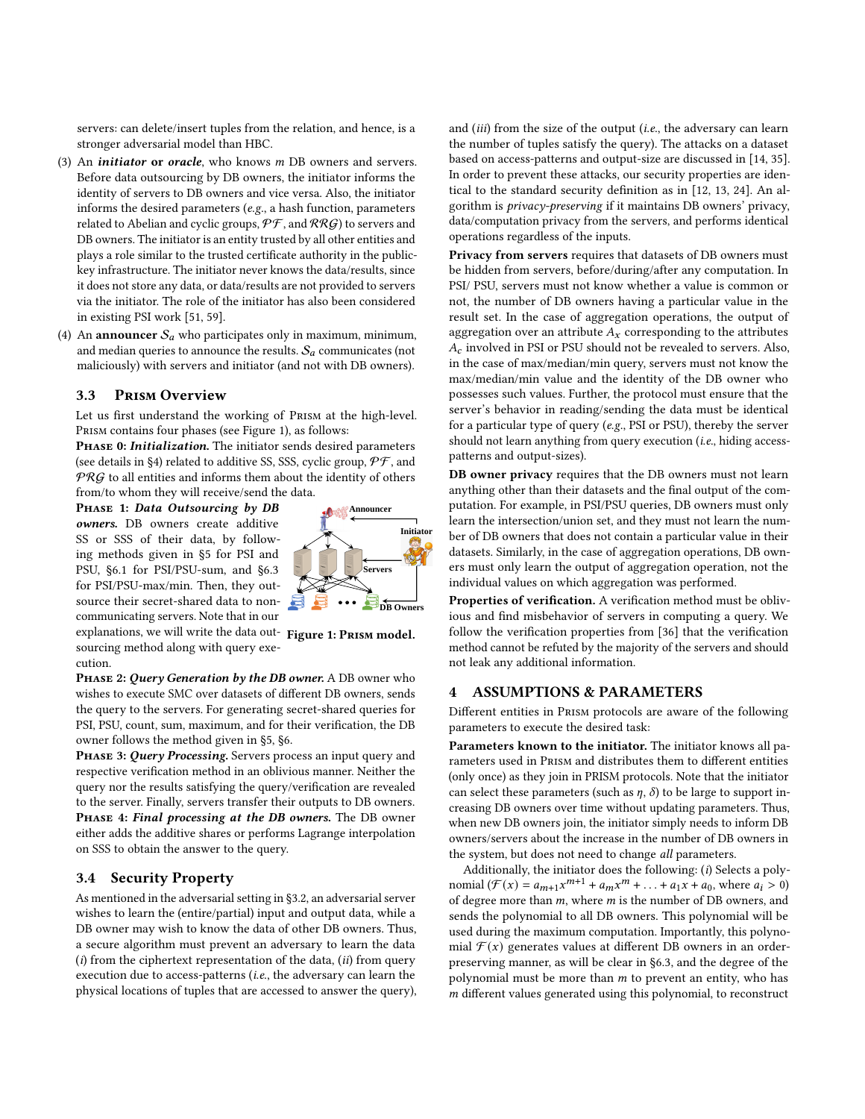servers: can delete/insert tuples from the relation, and hence, is a stronger adversarial model than HBC.

- (3) An *initiator* or *oracle*, who knows  $m$  DB owners and servers. Before data outsourcing by DB owners, the initiator informs the identity of servers to DB owners and vice versa. Also, the initiator informs the desired parameters (e.g., a hash function, parameters related to Abelian and cyclic groups,  $\mathcal{PF}$ , and  $\mathcal{RRG}$ ) to servers and DB owners. The initiator is an entity trusted by all other entities and plays a role similar to the trusted certificate authority in the publickey infrastructure. The initiator never knows the data/results, since it does not store any data, or data/results are not provided to servers via the initiator. The role of the initiator has also been considered in existing PSI work [\[51,](#page-12-37) [59\]](#page-12-38).
- (4) An announcer  $S_a$  who participates only in maximum, minimum, and median queries to announce the results.  $S_a$  communicates (not maliciously) with servers and initiator (and not with DB owners).

#### 3.3 Prism Overview

Let us first understand the working of Prism at the high-level. Prism contains four phases (see Figure [1\)](#page-3-0), as follows:

PHASE 0: *Initialization*. The initiator sends desired parameters (see details in [§4\)](#page-3-1) related to additive SS, SSS, cyclic group,  $\mathcal{PF}$ , and  $PRG$  to all entities and informs them about the identity of others from/to whom they will receive/send the data.

PHASE 1: Data Outsourcing by DB owners. DB owners create additive SS or SSS of their data, by following methods given in [§5](#page-4-0) for PSI and PSU, [§6.1](#page-7-0) for PSI/PSU-sum, and [§6.3](#page-7-1) for PSI/PSU-max/min. Then, they outsource their secret-shared data to noncommunicating servers. Note that in our

<span id="page-3-0"></span>

explanations, we will write the data out- Figure 1: PRISM model. sourcing method along with query execution.

PHASE 2: Query Generation by the DB owner. A DB owner who wishes to execute SMC over datasets of different DB owners, sends the query to the servers. For generating secret-shared queries for PSI, PSU, count, sum, maximum, and for their verification, the DB owner follows the method given in [§5,](#page-4-0) [§6.](#page-6-0)

PHASE 3: Query Processing. Servers process an input query and respective verification method in an oblivious manner. Neither the query nor the results satisfying the query/verification are revealed to the server. Finally, servers transfer their outputs to DB owners. PHASE 4: Final processing at the DB owners. The DB owner either adds the additive shares or performs Lagrange interpolation on SSS to obtain the answer to the query.

## 3.4 Security Property

As mentioned in the adversarial setting in [§3.2,](#page-2-1) an adversarial server wishes to learn the (entire/partial) input and output data, while a DB owner may wish to know the data of other DB owners. Thus, a secure algorithm must prevent an adversary to learn the data  $(i)$  from the ciphertext representation of the data,  $(ii)$  from query execution due to access-patterns (i.e., the adversary can learn the physical locations of tuples that are accessed to answer the query), and *(iii)* from the size of the output *(i.e., the adversary can learn* the number of tuples satisfy the query). The attacks on a dataset based on access-patterns and output-size are discussed in [\[14,](#page-12-39) [35\]](#page-12-40). In order to prevent these attacks, our security properties are identical to the standard security definition as in [\[12,](#page-12-41) [13,](#page-12-35) [24\]](#page-12-42). An algorithm is privacy-preserving if it maintains DB owners' privacy, data/computation privacy from the servers, and performs identical operations regardless of the inputs.

Privacy from servers requires that datasets of DB owners must be hidden from servers, before/during/after any computation. In PSI/ PSU, servers must not know whether a value is common or not, the number of DB owners having a particular value in the result set. In the case of aggregation operations, the output of aggregation over an attribute  $A_x$  corresponding to the attributes involved in PSI or PSU should not be revealed to servers. Also, in the case of max/median/min query, servers must not know the max/median/min value and the identity of the DB owner who possesses such values. Further, the protocol must ensure that the server's behavior in reading/sending the data must be identical for a particular type of query (e.g., PSI or PSU), thereby the server should not learn anything from query execution (i.e., hiding accesspatterns and output-sizes).

DB owner privacy requires that the DB owners must not learn anything other than their datasets and the final output of the computation. For example, in PSI/PSU queries, DB owners must only learn the intersection/union set, and they must not learn the number of DB owners that does not contain a particular value in their datasets. Similarly, in the case of aggregation operations, DB owners must only learn the output of aggregation operation, not the individual values on which aggregation was performed.

Properties of verification. A verification method must be oblivious and find misbehavior of servers in computing a query. We follow the verification properties from [\[36\]](#page-12-43) that the verification method cannot be refuted by the majority of the servers and should not leak any additional information.

## <span id="page-3-1"></span>4 ASSUMPTIONS & PARAMETERS

Different entities in Prism protocols are aware of the following parameters to execute the desired task:

Parameters known to the initiator. The initiator knows all parameters used in Prism and distributes them to different entities (only once) as they join in PRISM protocols. Note that the initiator can select these parameters (such as  $\eta$ ,  $\delta$ ) to be large to support increasing DB owners over time without updating parameters. Thus, when new DB owners join, the initiator simply needs to inform DB owners/servers about the increase in the number of DB owners in the system, but does not need to change all parameters.

Additionally, the initiator does the following: (i) Selects a polynomial  $(\mathcal{F}(x)) = a_{m+1}x^{m+1} + a_mx^m + ... + a_1x + a_0$ , where  $a_i > 0$ of degree more than  $m$ , where  $m$  is the number of DB owners, and sends the polynomial to all DB owners. This polynomial will be used during the maximum computation. Importantly, this polynomial  $\mathcal{F}(x)$  generates values at different DB owners in an orderpreserving manner, as will be clear in [§6.3,](#page-7-1) and the degree of the polynomial must be more than  $m$  to prevent an entity, who has  $m$  different values generated using this polynomial, to reconstruct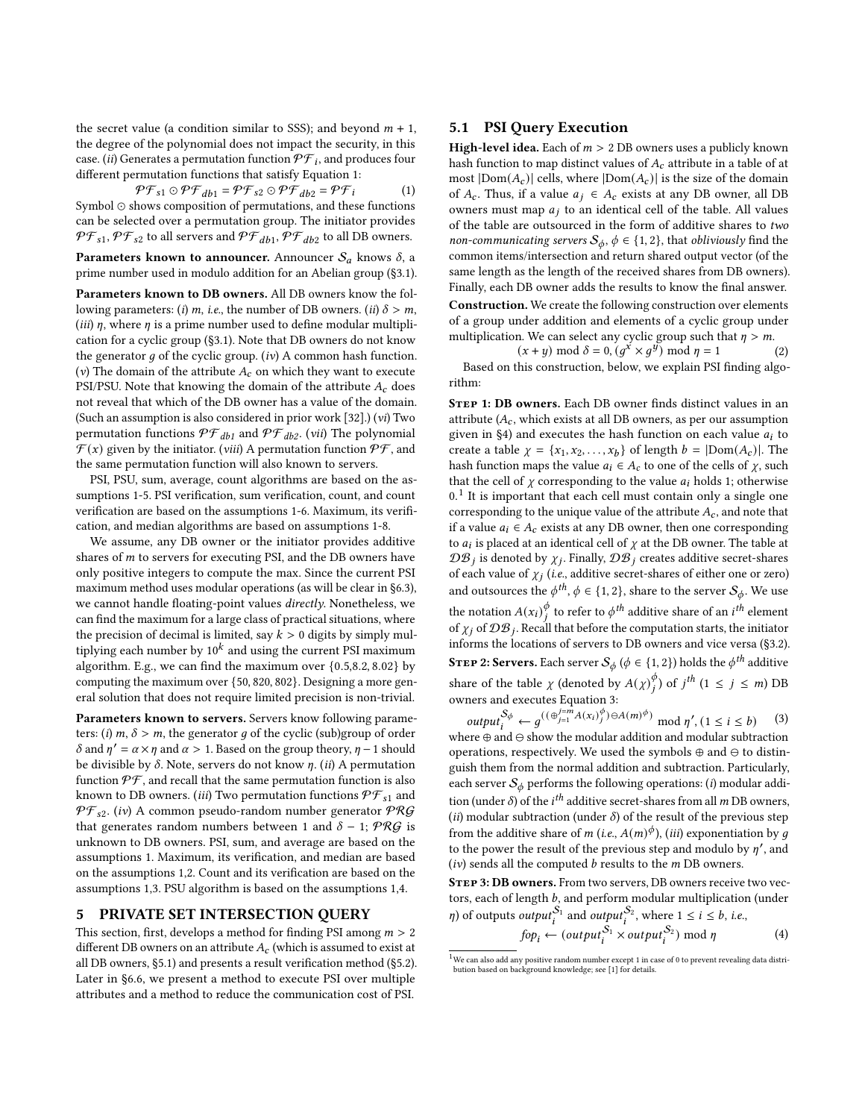the secret value (a condition similar to SSS); and beyond  $m + 1$ , the degree of the polynomial does not impact the security, in this case. (ii) Generates a permutation function  $\mathcal{PF}_{i}$ , and produces four different permutation functions that satisfy Equation [1:](#page-4-1)

<span id="page-4-1"></span>
$$
\mathcal{P}\mathcal{F}_{s1}\odot\mathcal{P}\mathcal{F}_{db1}=\mathcal{P}\mathcal{F}_{s2}\odot\mathcal{P}\mathcal{F}_{db2}=\mathcal{P}\mathcal{F}_{i}\qquad \qquad (1)
$$

Symbol ⊙ shows composition of permutations, and these functions can be selected over a permutation group. The initiator provides  $\mathcal{PF}_{s1},\mathcal{PF}_{s2}$  to all servers and  $\mathcal{PF}_{db1},\mathcal{PF}_{db2}$  to all DB owners.

Parameters known to announcer. Announcer  $S_a$  knows  $\delta$ , a prime number used in modulo addition for an Abelian group ([§3.1\)](#page-2-2).

Parameters known to DB owners. All DB owners know the following parameters: (i) m, i.e., the number of DB owners. (ii)  $\delta > m$ , (*iii*)  $\eta$ , where  $\eta$  is a prime number used to define modular multiplication for a cyclic group ([§3.1\)](#page-2-2). Note that DB owners do not know the generator  $g$  of the cyclic group. (iv) A common hash function. (v) The domain of the attribute  $A_c$  on which they want to execute PSI/PSU. Note that knowing the domain of the attribute  $A_c$  does not reveal that which of the DB owner has a value of the domain. (Such an assumption is also considered in prior work [\[32\]](#page-12-11).) (vi) Two permutation functions  $\mathcal{PF}_{db1}$  and  $\mathcal{PF}_{db2}$ . (vii) The polynomial  $\mathcal{F}(x)$  given by the initiator. (viii) A permutation function  $\mathcal{PF}$ , and the same permutation function will also known to servers.

PSI, PSU, sum, average, count algorithms are based on the assumptions 1-5. PSI verification, sum verification, count, and count verification are based on the assumptions 1-6. Maximum, its verification, and median algorithms are based on assumptions 1-8.

We assume, any DB owner or the initiator provides additive shares of  $m$  to servers for executing PSI, and the DB owners have only positive integers to compute the max. Since the current PSI maximum method uses modular operations (as will be clear in [§6.3\)](#page-7-1), we cannot handle floating-point values directly. Nonetheless, we can find the maximum for a large class of practical situations, where the precision of decimal is limited, say  $k > 0$  digits by simply multiplying each number by  $10^k$  and using the current PSI maximum algorithm. E.g., we can find the maximum over {0.5,8.2, 8.02} by computing the maximum over {50, 820, 802}. Designing a more general solution that does not require limited precision is non-trivial.

Parameters known to servers. Servers know following parameters: (i)  $m, \delta > m$ , the generator g of the cyclic (sub)group of order  $\delta$  and  $\eta' = \alpha \times \eta$  and  $\alpha > 1$ . Based on the group theory,  $\eta - 1$  should be divisible by  $\delta$ . Note, servers do not know  $\eta$ . (ii) A permutation function  $\mathcal{P}\mathcal{F}$ , and recall that the same permutation function is also known to DB owners. (iii) Two permutation functions  $\mathcal{PF}_{s1}$  and  $\mathcal{PF}_{s2}$ . (iv) A common pseudo-random number generator  $\mathcal{PRG}$ that generates random numbers between 1 and  $\delta - 1$ ;  $PRG$  is unknown to DB owners. PSI, sum, and average are based on the assumptions 1. Maximum, its verification, and median are based on the assumptions 1,2. Count and its verification are based on the assumptions 1,3. PSU algorithm is based on the assumptions 1,4.

#### <span id="page-4-0"></span>5 PRIVATE SET INTERSECTION QUERY

This section, first, develops a method for finding PSI among  $m > 2$ different DB owners on an attribute  $A_c$  (which is assumed to exist at all DB owners, [§5.1\)](#page-4-2) and presents a result verification method ([§5.2\)](#page-5-0). Later in [§6.6,](#page-9-1) we present a method to execute PSI over multiple attributes and a method to reduce the communication cost of PSI.

## <span id="page-4-2"></span>5.1 PSI Query Execution

**High-level idea.** Each of  $m > 2$  DB owners uses a publicly known hash function to map distinct values of  $A_c$  attribute in a table of at most  $|Dom(A_c)|$  cells, where  $|Dom(A_c)|$  is the size of the domain of  $A_c$ . Thus, if a value  $a_j \in A_c$  exists at any DB owner, all DB owners must map  $a_j$  to an identical cell of the table. All values of the table are outsourced in the form of additive shares to  $two$ non-communicating servers  $\mathcal{S}_{\phi}$ ,  $\phi \in \{1, 2\}$ , that obliviously find the common items/intersection and return shared output vector (of the same length as the length of the received shares from DB owners). Finally, each DB owner adds the results to know the final answer. Construction. We create the following construction over elements of a group under addition and elements of a cyclic group under multiplication. We can select any cyclic group such that  $\eta > m$ .

 $(x + y) \mod \delta = 0$ ,  $(g^x \times g^y) \mod \eta = 1$  (2) Based on this construction, below, we explain PSI finding algorithm:

STEP 1: DB owners. Each DB owner finds distinct values in an attribute  $(A_c,$  which exists at all DB owners, as per our assumption given in [§4\)](#page-3-1) and executes the hash function on each value  $a_i$  to create a table  $\chi = \{x_1, x_2, \dots, x_b\}$  of length  $b = |Dom(A_c)|$ . The hash function maps the value  $a_i \in A_c$  to one of the cells of  $\chi$ , such that the cell of  $\chi$  corresponding to the value  $a_i$  holds 1; otherwise  $0<sup>1</sup>$  $0<sup>1</sup>$  $0<sup>1</sup>$  It is important that each cell must contain only a single one corresponding to the unique value of the attribute  $A_c$ , and note that if a value  $a_i \in A_c$  exists at any DB owner, then one corresponding to  $a_i$  is placed at an identical cell of  $\chi$  at the DB owner. The table at  $\mathcal{DB}_i$  is denoted by  $\chi_i$ . Finally,  $\mathcal{DB}_i$  creates additive secret-shares of each value of  $\chi_j$  (i.e., additive secret-shares of either one or zero) and outsources the  $\phi^{th}$ ,  $\phi \in \{1, 2\}$ , share to the server  $\mathcal{S}_{\phi}$ . We use the notation  $A(x_i)_{i}^{\phi}$  $\stackrel{\phi}{\scriptstyle\phi}$  to refer to  $\phi^{th}$  additive share of an  $i^{th}$  element of  $\chi_j$  of  $\mathcal{DB}_j$ . Recall that before the computation starts, the initiator informs the locations of servers to DB owners and vice versa ([§3.2\)](#page-2-1). **STEP 2: Servers.** Each server  $\mathcal{S}_{\phi}$  ( $\phi \in \{1, 2\}$ ) holds the  $\phi^{th}$  additive share of the table  $\chi$  (denoted by  $A(\chi)_{i}^{\phi}$  $\binom{\phi}{i}$  of  $j^{th}$  (1  $\leq j \leq m$ ) DB owners and executes Equation [3:](#page-4-3)

<span id="page-4-3"></span> $output_i^{S_\phi} \leftarrow g^{((\bigoplus_{j=1}^{j=m} A(x_i)^\phi_j) \ominus A(m)^\phi)} \mod \eta', (1 \le i \le b)$ (3) where  $\oplus$  and  $\ominus$  show the modular addition and modular subtraction operations, respectively. We used the symbols ⊕ and ⊖ to distinguish them from the normal addition and subtraction. Particularly, each server  $S_{\phi}$  performs the following operations: (*i*) modular addition (under  $\delta$ ) of the *i*<sup>th</sup> additive secret-shares from all *m* DB owners, (ii) modular subtraction (under  $\delta$ ) of the result of the previous step from the additive share of *m* (i.e.,  $A(m)^{\phi}$ ), (iii) exponentiation by *g* to the power the result of the previous step and modulo by  $\eta'$ , and (iv) sends all the computed  $b$  results to the  $m$  DB owners.

STEP 3: DB owners. From two servers, DB owners receive two vectors, each of length  $b$ , and perform modular multiplication (under  $\eta$ ) of outputs *output*<sup>S<sub>1</sub></sup> and *output*<sup>S<sub>2</sub></sup>, where 1  $\leq$  i  $\leq$  b, i.e.,

<span id="page-4-4"></span>
$$
f \circ p_i \leftarrow (output_i^{S_1} \times output_i^{S_2}) \mod \eta \tag{4}
$$

 $^1\rm{We}$  can also add any positive random number except 1 in case of 0 to prevent revealing data distribution based on background knowledge; see [\[1\]](#page-12-27) for details.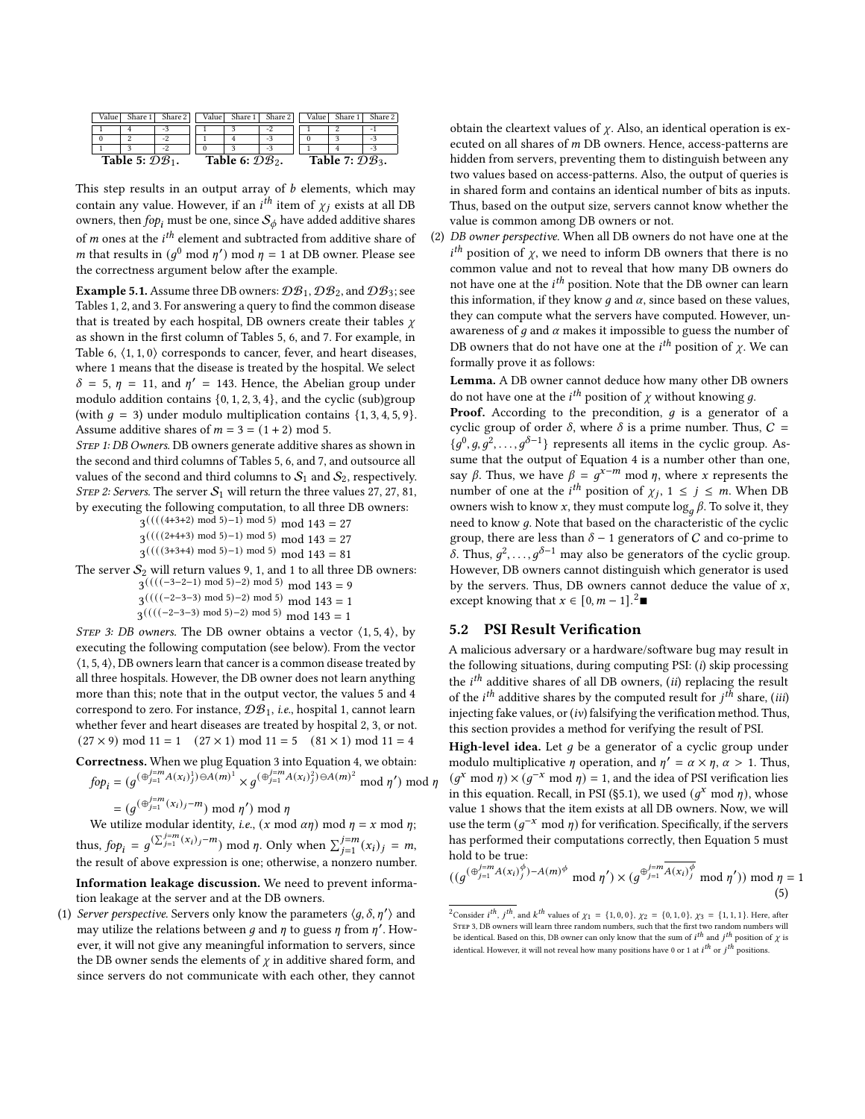<span id="page-5-1"></span>

| Value l                     | Share 1 | Share 2 | Value l | Share 1                     | Share 2 | Value∣                      | Share 1 | Share 2 |  |
|-----------------------------|---------|---------|---------|-----------------------------|---------|-----------------------------|---------|---------|--|
|                             |         | - 5     |         |                             | -2      |                             |         | ۰       |  |
|                             |         | -2      |         |                             |         |                             |         | - 1     |  |
|                             |         | -2      |         |                             |         |                             |         |         |  |
| Table 5: $\mathcal{DB}_1$ . |         |         |         | Table 6: $\mathcal{DB}_2$ . |         | Table 7: $\mathcal{DB}_3$ . |         |         |  |

This step results in an output array of  $b$  elements, which may contain any value. However, if an *i*<sup>th</sup> item of  $\chi_j$  exists at all DB owners, then  $f \circ p_i$  must be one, since  $S_\phi$  have added additive shares of  $m$  ones at the  $i^{th}$  element and subtracted from additive share of *m* that results in  $(g^0 \mod \eta') \mod \eta = 1$  at DB owner. Please see the correctness argument below after the example.

**Example [5.](#page-4-0)1.** Assume three DB owners:  $\mathcal{DB}_1$ ,  $\mathcal{DB}_2$ , and  $\mathcal{DB}_3$ ; see Tables [1, 2,](#page-1-0) and [3.](#page-1-0) For answering a query to find the common disease that is treated by each hospital, DB owners create their tables  $\gamma$ as shown in the first column of Tables [5, 6,](#page-5-1) and [7.](#page-5-1) For example, in Table [6,](#page-5-1)  $\langle 1, 1, 0 \rangle$  corresponds to cancer, fever, and heart diseases, where 1 means that the disease is treated by the hospital. We select  $\delta = 5$ ,  $\eta = 11$ , and  $\eta' = 143$ . Hence, the Abelian group under modulo addition contains  $\{0, 1, 2, 3, 4\}$ , and the cyclic (sub)group (with  $q = 3$ ) under modulo multiplication contains  $\{1, 3, 4, 5, 9\}.$ Assume additive shares of  $m = 3 = (1 + 2) \text{ mod } 5$ .

Step 1: DB Owners. DB owners generate additive shares as shown in the second and third columns of Tables [5, 6,](#page-5-1) and [7,](#page-5-1) and outsource all values of the second and third columns to  $S_1$  and  $S_2$ , respectively. STEP 2: Servers. The server  $S_1$  will return the three values 27, 27, 81, by executing the following computation, to all three DB owners:

3(((((4+3+2) mod 5)−1) mod 5) mod 143 = 27 3(((((2+4+3) mod 5)−1) mod 5) mod 143 = 27  $3(((3+3+4) \mod 5)-1) \mod 5) \mod 143 = 81$ 

The server  $S_2$  will return values 9, 1, and 1 to all three DB owners:

 $3((((-3-2-1) \mod 5)-2) \mod 5) \mod 143 = 9$ 3(((( $(-2-3-3) \mod 5$ ) −2) mod 5) mod 143 = 1

3(((( $(-2-3-3) \mod 5$ ) −2) mod 5) mod 143 = 1 STEP 3: DB owners. The DB owner obtains a vector  $(1, 5, 4)$ , by

executing the following computation (see below). From the vector ⟨1, 5, 4⟩, DB owners learn that cancer is a common disease treated by all three hospitals. However, the DB owner does not learn anything more than this; note that in the output vector, the values 5 and 4 correspond to zero. For instance,  $\mathcal{DB}_1$ , i.e., hospital 1, cannot learn whether fever and heart diseases are treated by hospital 2, 3, or not.  $(27 \times 9) \text{ mod } 11 = 1$   $(27 \times 1) \text{ mod } 11 = 5$   $(81 \times 1) \text{ mod } 11 = 4$ 

Correctness. When we plug Equation [3](#page-4-3) into Equation [4,](#page-4-4) we obtain:

$$
f \circ p_i = (g^{(\oplus_{j=1}^{j=m} A(x_i)^1_j) \ominus A(m)^1} \times g^{(\oplus_{j=1}^{j=m} A(x_i)^2_j) \ominus A(m)^2} \mod \eta')
$$
 mod  $\eta$ 

 $=(g^{(\oplus_{j=1}^{j=m}(x_i)_j-m}) \bmod \eta') \bmod \eta$ 

We utilize modular identity, *i.e.*,  $(x \mod \alpha \eta) \mod \eta = x \mod \eta$ ; thus,  $f \circ p_i = g^{(\sum_{j=1}^{j=m} (x_i)_j - m)} \mod \eta$ . Only when  $\sum_{j=1}^{j=m} (x_i)_j = m$ , the result of above expression is one; otherwise, a nonzero number.

Information leakage discussion. We need to prevent information leakage at the server and at the DB owners.

(1) Server perspective. Servers only know the parameters  $\langle g, \delta, \eta' \rangle$  and may utilize the relations between g and  $\eta$  to guess  $\eta$  from  $\eta'$ . However, it will not give any meaningful information to servers, since the DB owner sends the elements of  $\chi$  in additive shared form, and since servers do not communicate with each other, they cannot

obtain the cleartext values of  $\chi$ . Also, an identical operation is executed on all shares of *m* DB owners. Hence, access-patterns are hidden from servers, preventing them to distinguish between any two values based on access-patterns. Also, the output of queries is in shared form and contains an identical number of bits as inputs. Thus, based on the output size, servers cannot know whether the value is common among DB owners or not.

(2) DB owner perspective. When all DB owners do not have one at the  $i<sup>th</sup>$  position of  $\chi$ , we need to inform DB owners that there is no common value and not to reveal that how many DB owners do not have one at the  $i^{th}$  position. Note that the DB owner can learn this information, if they know  $g$  and  $\alpha$ , since based on these values, they can compute what the servers have computed. However, unawareness of  $q$  and  $\alpha$  makes it impossible to guess the number of DB owners that do not have one at the  $i^{th}$  position of  $\chi$ . We can formally prove it as follows:

Lemma. A DB owner cannot deduce how many other DB owners do not have one at the *i*<sup>th</sup> position of  $\chi$  without knowing g.

**Proof.** According to the precondition,  $g$  is a generator of a cyclic group of order  $\delta$ , where  $\delta$  is a prime number. Thus,  $C =$  ${g^0, g, g^2, \ldots, g^{\delta-1}}$ } represents all items in the cyclic group. Assume that the output of Equation [4](#page-4-4) is a number other than one, say  $\beta$ . Thus, we have  $\beta = g^{x-m} \mod \eta$ , where x represents the number of one at the *i*<sup>th</sup> position of  $\chi_j$ ,  $1 \le j \le m$ . When DB owners wish to know x, they must compute  $\log_a \beta$ . To solve it, they need to know  $g$ . Note that based on the characteristic of the cyclic group, there are less than  $\delta - 1$  generators of C and co-prime to  $\delta$ . Thus,  $g^2, \ldots, g^{\delta-1}$  may also be generators of the cyclic group. However, DB owners cannot distinguish which generator is used by the servers. Thus, DB owners cannot deduce the value of  $x$ , except knowing that  $x \in [0, m-1].^2$  $x \in [0, m-1].^2$ ■

## <span id="page-5-0"></span>5.2 PSI Result Verification

A malicious adversary or a hardware/software bug may result in the following situations, during computing PSI:  $(i)$  skip processing the  $i^{th}$  additive shares of all DB owners, (ii) replacing the result of the  $i^{th}$  additive shares by the computed result for  $j^{th}$  share, (iii) injecting fake values, or  $(iv)$  falsifying the verification method. Thus, this section provides a method for verifying the result of PSI.

High-level idea. Let  $q$  be a generator of a cyclic group under modulo multiplicative  $\eta$  operation, and  $\eta' = \alpha \times \eta$ ,  $\alpha > 1$ . Thus,  $(g^x \mod \eta) \times (g^{-x} \mod \eta) = 1$ , and the idea of PSI verification lies in this equation. Recall, in PSI ([§5.1\)](#page-4-2), we used  $(g^x \mod \eta)$ , whose value 1 shows that the item exists at all DB owners. Now, we will use the term  $(g^{-x} \mod \eta)$  for verification. Specifically, if the servers has performed their computations correctly, then Equation [5](#page-5-2) must hold to be true:

<span id="page-5-2"></span>
$$
((g^{(\oplus_{j=1}^{j=m}A(x_i)^{\phi}_{j})-A(m)^{\phi}\mod\eta')\times(g^{\oplus_{j=1}^{j=m}\overline{A(x_i)^{\phi}}\mod\eta'})\mod\eta=1
$$
\n(5)

<sup>&</sup>lt;sup>2</sup> Consider *i*<sup>th</sup>, *j*<sup>th</sup>, and *k*<sup>th</sup> values of  $\chi_1 = \{1, 0, 0\}$ ,  $\chi_2 = \{0, 1, 0\}$ ,  $\chi_3 = \{1, 1, 1\}$ . Here, after STEP 3, DB owners will learn three random numbers, such that the first two random numbers will<br>be identical. Based on this, DB owner can only know that the sum of  $i^{th}$  and  $j^{th}$  position of  $\chi$  is identical. However, it will not reveal how many positions have 0 or 1 at  $i^{th}$  or  $j^{th}$  positions.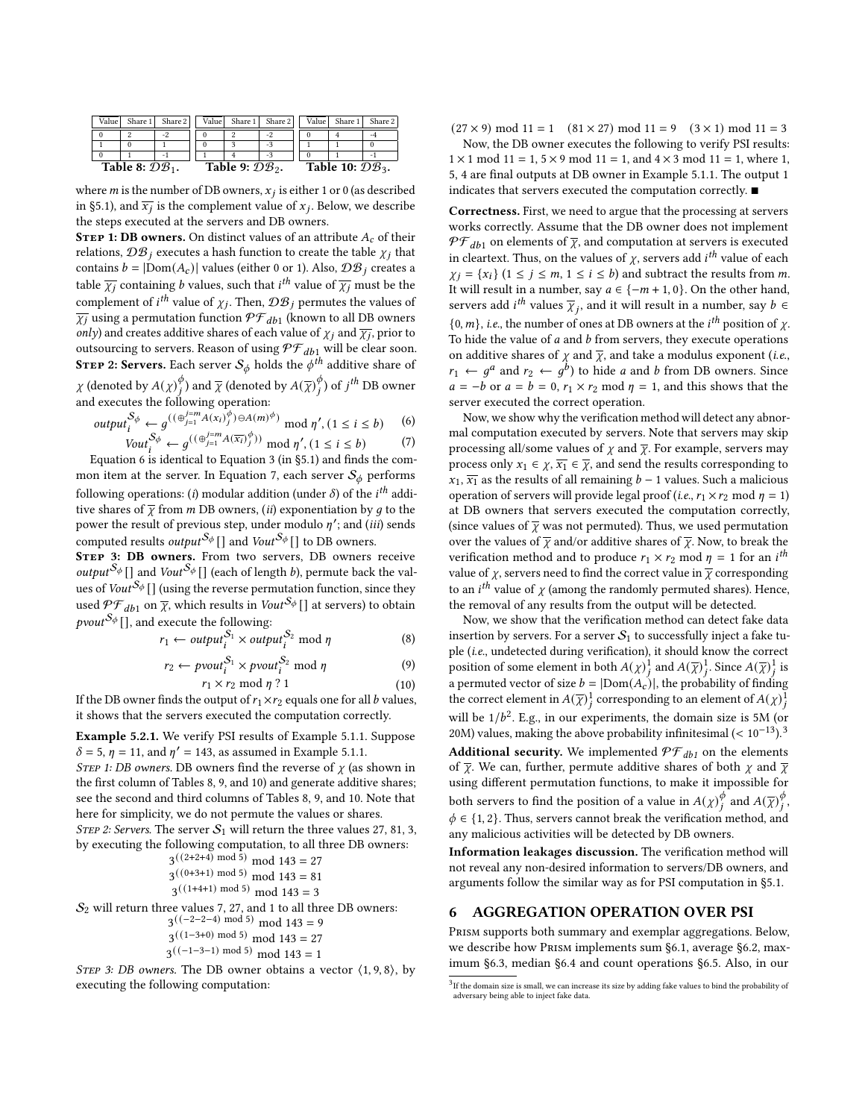<span id="page-6-3"></span>

| Value             | Share 1 | Share 2 |                             | Value Share 1 Share 2 | Value                        | Share 1 | Share 2 |  |
|-------------------|---------|---------|-----------------------------|-----------------------|------------------------------|---------|---------|--|
|                   |         | -2      |                             | -2                    |                              |         | -4      |  |
|                   |         |         |                             | -3                    |                              |         |         |  |
|                   |         | - 1     |                             | $-3$                  |                              |         |         |  |
| Table 8: $DB_1$ . |         |         | Table 9: $\mathcal{DB}_2$ . |                       | Table 10: $\mathcal{DB}_3$ . |         |         |  |

where m is the number of DB owners,  $x_j$  is either 1 or 0 (as described in [§5.1\)](#page-4-2), and  $\overline{x_j}$  is the complement value of  $x_j$ . Below, we describe the steps executed at the servers and DB owners.

**STEP 1: DB owners.** On distinct values of an attribute  $A_c$  of their relations,  $\mathcal{DB}_i$  executes a hash function to create the table  $\chi_i$  that contains  $b = |Dom(A_c)|$  values (either 0 or 1). Also,  $\mathcal{DB}_j$  creates a table  $\overline{\chi_i}$  containing *b* values, such that *i*<sup>th</sup> value of  $\overline{\chi_i}$  must be the complement of *i*<sup>th</sup> value of  $\chi_j$ . Then,  $\mathcal{DB}_j$  permutes the values of  $\overline{\chi_j}$  using a permutation function  $\mathcal{PF}_{db1}$  (known to all DB owners only) and creates additive shares of each value of  $\chi_j$  and  $\overline{\chi_j}$ , prior to outsourcing to servers. Reason of using  $\mathcal{PF}_{db1}$  will be clear soon. **STEP 2: Servers.** Each server  $S_{\phi}$  holds the  $\phi^{th}$  additive share of  $\chi$  (denoted by  $A(\chi)^{\phi}_{i}$  $(\frac{\phi}{i})$  and  $\overline{\chi}$  (denoted by  $A(\overline{\chi})_{i}^{\phi}$  $\frac{\phi}{i}$ ) of  $j^{th}$  DB owner and executes the following operation:

<span id="page-6-2"></span><span id="page-6-1"></span>
$$
output_i^{\mathcal{S}_{\phi}} \leftarrow g^{((\oplus_{j=1}^{j=m} A(\mathbf{x}_i)^{\phi}_{j}) \ominus A(m)^{\phi})} \mod \eta', (1 \le i \le b) \quad (6)
$$
  

$$
Vout_i^{\mathcal{S}_{\phi}} \leftarrow g^{((\oplus_{j=1}^{j=m} A(\overline{\mathbf{x}_i})^{\phi}_{j}))} \mod \eta', (1 \le i \le b) \quad (7)
$$

(7) Equation [6](#page-6-1) is identical to Equation [3](#page-4-3) (in [§5.1\)](#page-4-2) and finds the com-mon item at the server. In Equation [7,](#page-6-2) each server  $\mathcal{S}_{\phi}$  performs

following operations: (*i*) modular addition (under  $\delta$ ) of the *i*<sup>th</sup> additive shares of  $\bar{\chi}$  from *m* DB owners, *(ii)* exponentiation by *q* to the power the result of previous step, under modulo  $\eta'$ ; and (iii) sends computed results *output*<sup>S<sub> $\phi$ </sub> [] and *Vout*<sup>S<sub> $\phi$ </sub> [] to DB owners.</sup></sup>

STEP 3: DB owners. From two servers, DB owners receive *output*<sup>S<sub>\$}</sub></sup>[] and *Vout*<sup>S<sub>\$</sub></sup>[] (each of length *b*), permute back the values of Vout<sup>S<sub>\$</sub></sup> [] (using the reverse permutation function, since they used  $\mathcal{PF}_{db1}$  on  $\overline{\chi}$ , which results in Vout<sup>S<sub>\$</sub></sup> [] at servers) to obtain *pvout*<sup> $S_{\phi}$ </sup>[], and execute the following:

$$
r_1 \leftarrow output_i^{S_1} \times output_i^{S_2} \mod \eta \tag{8}
$$

$$
r_2 \leftarrow \text{pvout}_i^{S_1} \times \text{pvout}_i^{S_2} \text{ mod } \eta \tag{9}
$$
  

$$
r_1 \times r_2 \text{ mod } \eta ? 1 \tag{10}
$$

If the DB owner finds the output of  $r_1 \times r_2$  equals one for all  $b$  values, it shows that the servers executed the computation correctly.

Example [5.2.](#page-5-0)1. We verify PSI results of Example [5.1.](#page-4-2)1. Suppose  $\delta = 5$ ,  $\eta = 11$ , and  $\eta' = 143$ , as assumed in Example [5.1.](#page-4-2)1.

STEP 1: DB owners. DB owners find the reverse of  $\chi$  (as shown in the first column of Tables [8, 9,](#page-6-3) and [10\)](#page-6-3) and generate additive shares; see the second and third columns of Tables [8, 9,](#page-6-3) and [10.](#page-6-3) Note that here for simplicity, we do not permute the values or shares. STEP 2: Servers. The server  $S_1$  will return the three values 27, 81, 3, by executing the following computation, to all three DB owners:

 $3^{((2+2+4) \text{ mod } 5)} \text{ mod } 143 = 27$  $3^{((0+3+1) \mod 5)} \mod 143 = 81$  $3^{((1+4+1) \text{ mod } 5)} \text{ mod } 143 = 3$ 

 $S_2$  will return three values 7, 27, and 1 to all three DB owners:

$$
3((-2-2-4) \mod 5) \mod 143 = 9
$$

 $3^{((1-3+0) \mod 5)} \mod 143 = 27$ 

$$
3((-1-3-1) \mod 5) \mod 143 = 1
$$

STEP 3: DB owners. The DB owner obtains a vector  $(1, 9, 8)$ , by executing the following computation:

 $(27 \times 9) \text{ mod } 11 = 1$   $(81 \times 27) \text{ mod } 11 = 9$   $(3 \times 1) \text{ mod } 11 = 3$ 

Now, the DB owner executes the following to verify PSI results:  $1 \times 1 \mod 11 = 1, 5 \times 9 \mod 11 = 1, \text{ and } 4 \times 3 \mod 11 = 1, \text{ where } 1,$ 5, 4 are final outputs at DB owner in Example [5.1.](#page-4-2)1. The output 1 indicates that servers executed the computation correctly. ■

Correctness. First, we need to argue that the processing at servers works correctly. Assume that the DB owner does not implement  $\mathcal{PF}_{db1}$  on elements of  $\overline{\chi}$ , and computation at servers is executed in cleartext. Thus, on the values of  $\chi$ , servers add *i*<sup>th</sup> value of each  $\chi_i = \{x_i\}$   $(1 \leq j \leq m, 1 \leq i \leq b)$  and subtract the results from m. It will result in a number, say  $a \in \{-m+1, 0\}$ . On the other hand, servers add *i*<sup>th</sup> values  $\overline{\chi}_i$ , and it will result in a number, say  $b \in$  $\{0, m\}$ , *i.e.*, the number of ones at DB owners at the *i*<sup>th</sup> position of  $\chi$ . To hide the value of  $a$  and  $b$  from servers, they execute operations on additive shares of  $\chi$  and  $\overline{\chi}$ , and take a modulus exponent (*i.e.*,  $r_1 \leftarrow g^a$  and  $r_2 \leftarrow g^b$ ) to hide *a* and *b* from DB owners. Since  $a = -b$  or  $a = b = 0$ ,  $r_1 \times r_2$  mod  $\eta = 1$ , and this shows that the server executed the correct operation.

Now, we show why the verification method will detect any abnormal computation executed by servers. Note that servers may skip processing all/some values of  $\chi$  and  $\overline{\chi}$ . For example, servers may process only  $x_1 \in \chi$ ,  $\overline{x_1} \in \overline{\chi}$ , and send the results corresponding to  $x_1$ ,  $\overline{x_1}$  as the results of all remaining  $b - 1$  values. Such a malicious operation of servers will provide legal proof (*i.e.*,  $r_1 \times r_2$  mod  $\eta = 1$ ) at DB owners that servers executed the computation correctly, (since values of  $\bar{\chi}$  was not permuted). Thus, we used permutation over the values of  $\overline{\chi}$  and/or additive shares of  $\overline{\chi}$ . Now, to break the verification method and to produce  $r_1 \times r_2$  mod  $\eta = 1$  for an  $i^{th}$ value of  $\chi$ , servers need to find the correct value in  $\overline{\chi}$  corresponding to an *i*<sup>th</sup> value of  $\chi$  (among the randomly permuted shares). Hence, the removal of any results from the output will be detected.

Now, we show that the verification method can detect fake data insertion by servers. For a server  $S_1$  to successfully inject a fake tuple (i.e., undetected during verification), it should know the correct position of some element in both  $A(\chi)^1_j$  and  $A(\overline{\chi})^1_j$ . Since  $A(\overline{\chi})^1_j$  is a permuted vector of size  $b = |Dom(A_c)|$ , the probability of finding the correct element in  $A(\overline{\chi})^1_j$  corresponding to an element of  $A(\chi)^{\overline{1}}_j$ will be  $1/b^2$ . E.g., in our experiments, the domain size is 5M (or 20M) values, making the above probability infinitesimal (<  $10^{-13}$  $10^{-13}$  $10^{-13}$ ).<sup>3</sup> **Additional security.** We implemented  $\mathcal{PF}_{db1}$  on the elements of  $\overline{\chi}$ . We can, further, permute additive shares of both  $\chi$  and  $\overline{\chi}$ using different permutation functions, to make it impossible for both servers to find the position of a value in  $A(\chi)^{\phi}$  $\int_{i}^{\phi}$  and  $A(\overline{\chi})_i^{\phi}$ φ<br>i'  $\phi \in \{1, 2\}$ . Thus, servers cannot break the verification method, and any malicious activities will be detected by DB owners.

Information leakages discussion. The verification method will not reveal any non-desired information to servers/DB owners, and arguments follow the similar way as for PSI computation in [§5.1.](#page-4-2)

#### <span id="page-6-0"></span>6 AGGREGATION OPERATION OVER PSI

Prism supports both summary and exemplar aggregations. Below, we describe how Prism implements sum [§6.1,](#page-7-0) average [§6.2,](#page-7-2) maximum [§6.3,](#page-7-1) median [§6.4](#page-8-0) and count operations [§6.5.](#page-8-1) Also, in our

 $3$  If the domain size is small, we can increase its size by adding fake values to bind the probability of adversary being able to inject fake data.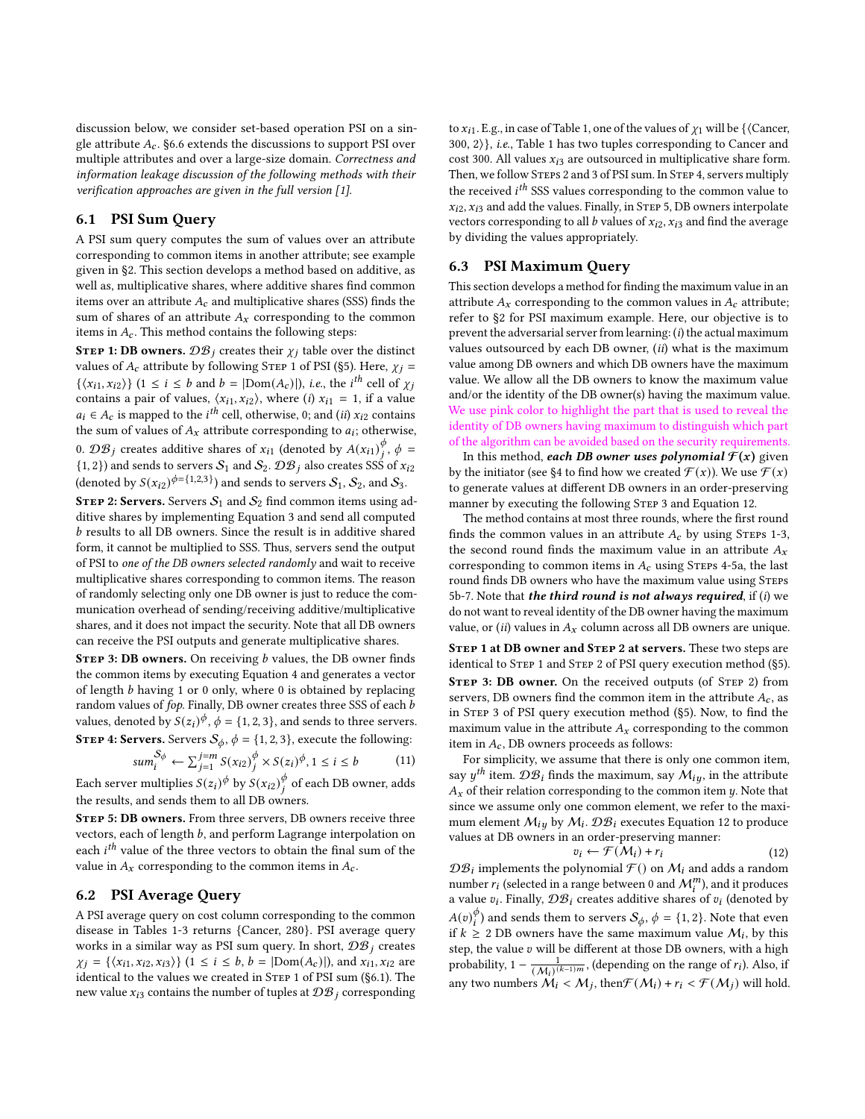discussion below, we consider set-based operation PSI on a single attribute  $A_c$ . [§6.6](#page-9-1) extends the discussions to support PSI over multiple attributes and over a large-size domain. Correctness and information leakage discussion of the following methods with their verification approaches are given in the full version [\[1\]](#page-12-27).

## <span id="page-7-0"></span>6.1 PSI Sum Query

A PSI sum query computes the sum of values over an attribute corresponding to common items in another attribute; see example given in [§2.](#page-1-1) This section develops a method based on additive, as well as, multiplicative shares, where additive shares find common items over an attribute  $A_c$  and multiplicative shares (SSS) finds the sum of shares of an attribute  $A_x$  corresponding to the common items in  $A_c$ . This method contains the following steps:

**STEP 1: DB owners.**  $\mathcal{DB}_i$  creates their  $\chi_i$  table over the distinct values of  $A_c$  attribute by following STEP 1 of PSI ([§5\)](#page-4-0). Here,  $\chi_i$  =  $\{\langle x_{i1}, x_{i2}\rangle\}$   $(1 \le i \le b$  and  $b = |Dom(A_c)|)$ , *i.e.*, the *i*<sup>th</sup> cell of  $\chi_j$ contains a pair of values,  $\langle x_{i1}, x_{i2} \rangle$ , where (i)  $x_{i1} = 1$ , if a value  $a_i \in A_c$  is mapped to the *i*<sup>th</sup> cell, otherwise, 0; and (*ii*)  $x_{i2}$  contains the sum of values of  $A_x$  attribute corresponding to  $a_i$ ; otherwise, 0.  $\mathcal{DB}_j$  creates additive shares of  $x_{i1}$  (denoted by  $A(x_{i1})_j^{\phi}$  $_{i}^{\phi}$ ,  $\phi =$  $\{1,2\}$ ) and sends to servers  $\mathcal{S}_1$  and  $\mathcal{S}_2$ .  $\mathcal{DB}_j$  also creates SSS of  $x_{i2}$ (denoted by  $S(x_{i2})^{\phi=\{1,2,3\}}$ ) and sends to servers  $S_1$ ,  $S_2$ , and  $S_3$ .

STEP 2: Servers. Servers  $S_1$  and  $S_2$  find common items using additive shares by implementing Equation [3](#page-4-3) and send all computed b results to all DB owners. Since the result is in additive shared form, it cannot be multiplied to SSS. Thus, servers send the output of PSI to one of the DB owners selected randomly and wait to receive multiplicative shares corresponding to common items. The reason of randomly selecting only one DB owner is just to reduce the communication overhead of sending/receiving additive/multiplicative shares, and it does not impact the security. Note that all DB owners can receive the PSI outputs and generate multiplicative shares.

STEP 3: DB owners. On receiving  $b$  values, the DB owner finds the common items by executing Equation [4](#page-4-4) and generates a vector of length  $b$  having 1 or 0 only, where 0 is obtained by replacing random values of fop. Finally, DB owner creates three SSS of each b values, denoted by  $S(z_i)^\phi$ ,  $\phi = \{1, 2, 3\}$ , and sends to three servers. **STEP 4: Servers.** Servers  $S_{\phi}$ ,  $\phi = \{1, 2, 3\}$ , execute the following:

$$
sum_i^{S_{\phi}} \leftarrow \sum_{j=1}^{j=m} S(x_{i2})^{\phi}_j \times S(z_i)^{\phi}, 1 \le i \le b \tag{11}
$$

Each server multiplies  $S(z_i)^\phi$  by  $S(x_{i2})^\phi_i$  $\frac{\varphi}{i}$  of each DB owner, adds the results, and sends them to all DB owners.

STEP 5: DB owners. From three servers, DB owners receive three vectors, each of length  $b$ , and perform Lagrange interpolation on each  $i^{th}$  value of the three vectors to obtain the final sum of the value in  $A_x$  corresponding to the common items in  $A_c$ .

## <span id="page-7-2"></span>6.2 PSI Average Query

A PSI average query on cost column corresponding to the common disease in Tables [1-3](#page-1-0) returns {Cancer, 280}. PSI average query works in a similar way as PSI sum query. In short,  $\mathcal{DB}_i$  creates  $\chi_i = {\langle x_{i1}, x_{i2}, x_{i3} \rangle}$  (1  $\leq i \leq b, b = |Dom(A_c)|$ ), and  $x_{i1}, x_{i2}$  are identical to the values we created in STEP 1 of PSI sum ([§6.1\)](#page-7-0). The new value  $x_{i3}$  contains the number of tuples at  $\mathcal{DB}_i$  corresponding to  $x_{i1}$ . E.g., in case of Table [1,](#page-1-0) one of the values of  $\chi_1$  will be { $\langle$ Cancer,  $300, 2$ , *i.e.*, Table [1](#page-1-0) has two tuples corresponding to Cancer and cost 300. All values  $x_{i3}$  are outsourced in multiplicative share form. Then, we follow STEPS 2 and 3 of PSI sum. In STEP 4, servers multiply the received  $i^{th}$  SSS values corresponding to the common value to  $x_{i2}$ ,  $x_{i3}$  and add the values. Finally, in STEP 5, DB owners interpolate vectors corresponding to all b values of  $x_{i2}$ ,  $x_{i3}$  and find the average by dividing the values appropriately.

#### <span id="page-7-1"></span>6.3 PSI Maximum Query

This section develops a method for finding the maximum value in an attribute  $A_x$  corresponding to the common values in  $A_c$  attribute; refer to [§2](#page-1-1) for PSI maximum example. Here, our objective is to prevent the adversarial server from learning:  $(i)$  the actual maximum values outsourced by each DB owner,  $(ii)$  what is the maximum value among DB owners and which DB owners have the maximum value. We allow all the DB owners to know the maximum value and/or the identity of the DB owner(s) having the maximum value. We use pink color to highlight the part that is used to reveal the identity of DB owners having maximum to distinguish which part of the algorithm can be avoided based on the security requirements.

In this method, each DB owner uses polynomial  $\mathcal{F}(x)$  given by the initiator (see [§4](#page-3-1) to find how we created  $\mathcal{F}(x)$ ). We use  $\mathcal{F}(x)$ to generate values at different DB owners in an order-preserving manner by executing the following STEP 3 and Equation [12.](#page-7-3)

The method contains at most three rounds, where the first round finds the common values in an attribute  $A_c$  by using STEPs 1-3, the second round finds the maximum value in an attribute  $A_x$ corresponding to common items in  $A_c$  using STEPs 4-5a, the last round finds DB owners who have the maximum value using Steps 5b-7. Note that the third round is not always required, if  $(i)$  we do not want to reveal identity of the DB owner having the maximum value, or (ii) values in  $A_x$  column across all DB owners are unique.

Step 1 at DB owner and Step 2 at servers. These two steps are identical to STEP 1 and STEP 2 of PSI query execution method ([§5\)](#page-4-0). STEP 3: DB owner. On the received outputs (of STEP 2) from servers, DB owners find the common item in the attribute  $A_c$ , as in Step 3 of PSI query execution method ([§5\)](#page-4-0). Now, to find the maximum value in the attribute  $A_x$  corresponding to the common item in  $A_c$ , DB owners proceeds as follows:

For simplicity, we assume that there is only one common item, say  $y^{th}$  item.  $\mathcal{DB}_i$  finds the maximum, say  $\mathcal{M}_{i,y}$ , in the attribute  $A_x$  of their relation corresponding to the common item  $y$ . Note that since we assume only one common element, we refer to the maximum element  $\mathcal{M}_{i\mu}$  by  $\mathcal{M}_{i}$ .  $\mathcal{DB}_{i}$  executes Equation [12](#page-7-3) to produce values at DB owners in an order-preserving manner:

<span id="page-7-3"></span>
$$
v_i \leftarrow \mathcal{F}(\mathcal{M}_i) + r_i \tag{12}
$$

 ${\mathcal{DB}}_i$  implements the polynomial  ${\mathcal{F}}()$  on  ${\mathcal{M}}_i$  and adds a random number  $r_i$  (selected in a range between 0 and  $\mathcal{M}_i^m$ ), and it produces a value  $v_i$ . Finally,  $\mathcal{DB}_i$  creates additive shares of  $v_i$  (denoted by  $A(v)$ <sup> $\phi$ </sup>  $\stackrel{\phi}{i}$ ) and sends them to servers  $\mathcal{S}_{\phi}, \, \phi = \{1, 2\}.$  Note that even if  $k \geq 2$  DB owners have the same maximum value  $M_i$ , by this step, the value  $v$  will be different at those DB owners, with a high probability,  $1 - \frac{1}{(\mathcal{M}_i)^{(k-1)m}}$ , (depending on the range of  $r_i$ ). Also, if any two numbers  $\mathcal{M}_i < \mathcal{M}_j$ , then  $\mathcal{F}(\mathcal{M}_i) + r_i < \mathcal{F}(\mathcal{M}_j)$  will hold.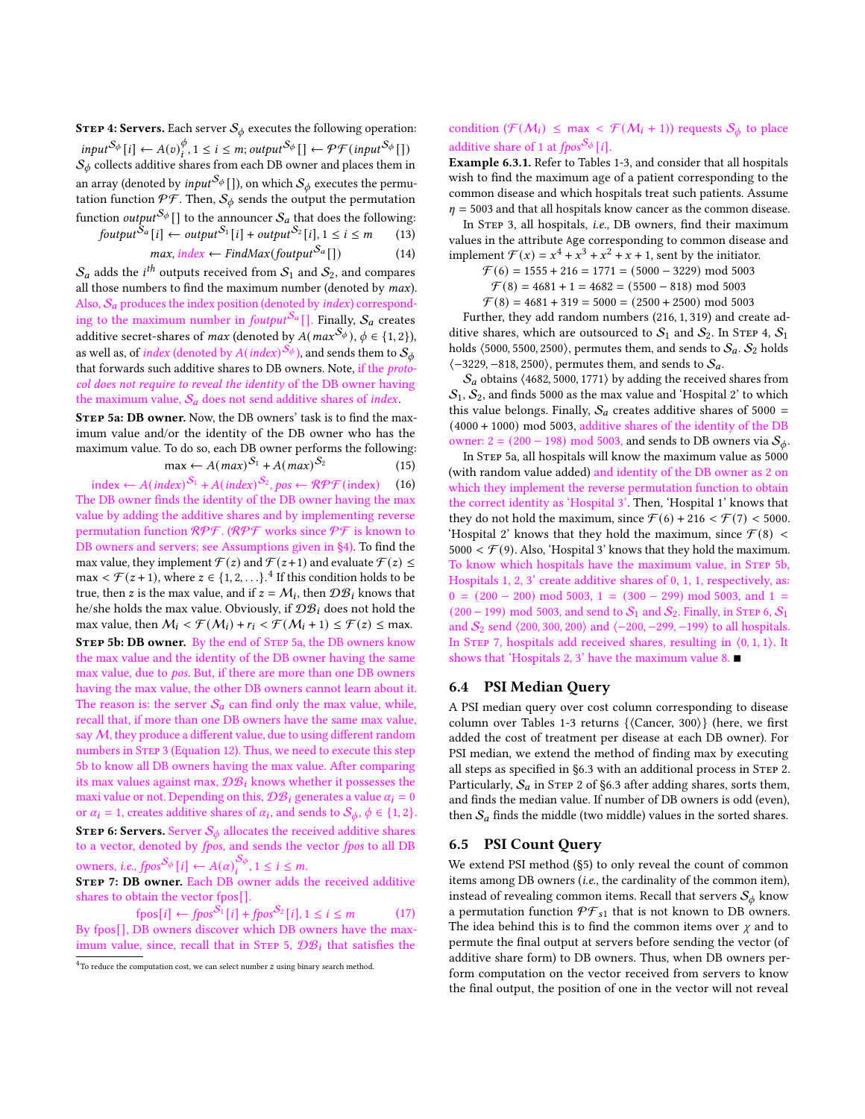**STEP 4: Servers.** Each server  $S_{\phi}$  executes the following operation:  $input^{S_{\phi}}[i] \leftarrow A(v)^{\phi}_{i}$  $\mathcal{P}_{i}^{\phi}, 1 \leq i \leq m$ ; output ${}^{\mathcal{S}_{\phi}}[ ] \leftarrow \mathcal{PF}($ input ${}^{\mathcal{S}_{\phi}}[ ] )$  $\mathcal{S}_\phi$  collects additive shares from each DB owner and places them in an array (denoted by *input*<sup>S<sub>\$}</sub></sup>[]), on which  $S_{\phi}$  executes the permutation function  $\mathcal{PF}$ . Then,  $\mathcal{S}_{\phi}$  sends the output the permutation function  $\mathit{output}^{\mathcal{S}_\phi}[]$  to the announcer  $\mathcal{S}_a$  that does the following:

$$
fourput^{S_a}[i] \leftarrow output^{S_1}[i] + output^{S_2}[i], 1 \le i \le m \qquad (13)
$$

$$
max, index \leftarrow FindMax(foutput^{S_a}[]) \qquad (14)
$$

 $\mathcal{S}_a$  adds the  $i^{th}$  outputs received from  $\mathcal{S}_1$  and  $\mathcal{S}_2$ , and compares all those numbers to find the maximum number (denoted by max). Also,  $S_a$  produces the index position (denoted by index) corresponding to the maximum number in foutput<sup>S<sub>a</sub></sub> []. Finally,  $S_a$  creates</sup> additive secret-shares of *max* (denoted by  $A(max^{\mathcal{S}_{\phi}})$ ,  $\phi \in \{1, 2\}$ ), as well as, of *index* (denoted by  $A(\mathrm{index})^{\mathcal{S}_{\phi}}$ ), and sends them to  $\mathcal{S}_{\phi}$ that forwards such additive shares to DB owners. Note, if the *proto*col does not require to reveal the identity of the DB owner having the maximum value,  $S_a$  does not send additive shares of *index*.

STEP 5a: DB owner. Now, the DB owners' task is to find the maximum value and/or the identity of the DB owner who has the maximum value. To do so, each DB owner performs the following:  $(15)$ 

$$
\max \leftarrow A(max)^{S_1} + A(max)^{S_2} \tag{15}
$$

index ←  $A(index)^{S_1}$  +  $A(index)^{S_2}$ , pos ←  $\mathcal{RPF}(index)$  (16) The DB owner finds the identity of the DB owner having the max value by adding the additive shares and by implementing reverse permutation function  $\mathcal{RPF}$ . ( $\mathcal{RPF}$  works since  $\mathcal{PF}$  is known to DB owners and servers; see Assumptions given in [§4\)](#page-3-1). To find the max value, they implement  $\mathcal{F}(z)$  and  $\mathcal{F}(z+1)$  and evaluate  $\mathcal{F}(z) \leq$ max  $\leq \mathcal{F}(z+1)$ , where  $z \in \{1, 2, \ldots\}$ .<sup>[4](#page-0-0)</sup> If this condition holds to be true, then z is the max value, and if  $z = M_i$ , then  $\mathcal{DB}_i$  knows that he/she holds the max value. Obviously, if  $\mathcal{DB}_i$  does not hold the max value, then  $M_i < \mathcal{F}(M_i) + r_i < \mathcal{F}(M_i + 1) \le \mathcal{F}(z) \le$  max. STEP 5b: DB owner. By the end of STEP 5a, the DB owners know the max value and the identity of the DB owner having the same max value, due to pos. But, if there are more than one DB owners having the max value, the other DB owners cannot learn about it. The reason is: the server  $S_a$  can find only the max value, while, recall that, if more than one DB owners have the same max value, say  $M$ , they produce a different value, due to using different random numbers in STEP 3 (Equation [12\)](#page-7-3). Thus, we need to execute this step 5b to know all DB owners having the max value. After comparing its max values against max,  $\mathcal{DB}_i$  knows whether it possesses the maxi value or not. Depending on this,  $\mathcal{DB}_i$  generates a value  $\alpha_i = 0$ or  $\alpha_i = 1$ , creates additive shares of  $\alpha_i$ , and sends to  $\mathcal{S}_{\phi}, \phi \in \{1, 2\}$ . **STEP 6: Servers.** Server  $S_{\phi}$  allocates the received additive shares to a vector, denoted by fpos, and sends the vector fpos to all DB owners, *i.e., fpos*<sup>S<sub>¢</sub></sup>[*i*]  $\leftarrow A(\alpha)_{i}^{S_{\phi}}, 1 \leq i \leq m$ .

STEP 7: DB owner. Each DB owner adds the received additive shares to obtain the vector fpos[].

 $fpos[i] \leftarrow fpos^{S_1}[i] + fpos^{S_2}[i], 1 \le i \le m$  (17) By fpos[], DB owners discover which DB owners have the maximum value, since, recall that in STEP 5,  $\mathcal{DB}_i$  that satisfies the

## condition ( $\mathcal{F}(\mathcal{M}_i) \leq \max < \mathcal{F}(\mathcal{M}_i + 1)$ ) requests  $\mathcal{S}_{\phi}$  to place additive share of 1 at  $fpos^{S_{\phi}}[i]$ .

Example [6.3.](#page-7-1)1. Refer to Tables [1-3,](#page-1-0) and consider that all hospitals wish to find the maximum age of a patient corresponding to the common disease and which hospitals treat such patients. Assume  $\eta$  = 5003 and that all hospitals know cancer as the common disease.

In Step 3, all hospitals, i.e., DB owners, find their maximum values in the attribute Age corresponding to common disease and implement  $\mathcal{F}(x) = x^4 + x^3 + x^2 + x + 1$ , sent by the initiator.

- $\mathcal{F}(6) = 1555 + 216 = 1771 = (5000 3229) \text{ mod } 5003$ 
	- $\mathcal{F}(8) = 4681 + 1 = 4682 = (5500 818) \text{ mod } 5003$
- $\mathcal{F}(8) = 4681 + 319 = 5000 = (2500 + 2500) \text{ mod } 5003$

Further, they add random numbers (216, 1, 319) and create additive shares, which are outsourced to  $S_1$  and  $S_2$ . In STEP 4,  $S_1$ holds  $(5000, 5500, 2500)$ , permutes them, and sends to  $S_a$ .  $S_2$  holds  $\langle -3229, -818, 2500 \rangle$ , permutes them, and sends to  $S_a$ .

 $\mathcal{S}_a$  obtains  $\langle 4682, 5000, 1771 \rangle$  by adding the received shares from  $S_1, S_2$ , and finds 5000 as the max value and 'Hospital 2' to which this value belongs. Finally,  $S_a$  creates additive shares of 5000 = (4000 + 1000) mod 5003, additive shares of the identity of the DB owner: 2 = (200 – 198) mod 5003, and sends to DB owners via  $S_{\phi}$ .

In STEP 5a, all hospitals will know the maximum value as 5000 (with random value added) and identity of the DB owner as 2 on which they implement the reverse permutation function to obtain the correct identity as 'Hospital 3'. Then, 'Hospital 1' knows that they do not hold the maximum, since  $\mathcal{F}(6) + 216 < \mathcal{F}(7) < 5000$ . 'Hospital 2' knows that they hold the maximum, since  $\mathcal{F}(8)$  < 5000 <  $\mathcal{F}(9)$ . Also, 'Hospital 3' knows that they hold the maximum. To know which hospitals have the maximum value, in Step 5b, Hospitals 1, 2, 3' create additive shares of 0, 1, 1, respectively, as:  $0 = (200 - 200) \text{ mod } 5003$ ,  $1 = (300 - 299) \text{ mod } 5003$ , and  $1 =$  $(200 - 199)$  mod 5003, and send to  $S_1$  and  $S_2$ . Finally, in STEP 6,  $S_1$ and  $S_2$  send  $\langle 200, 300, 200 \rangle$  and  $\langle -200, -299, -199 \rangle$  to all hospitals. In STEP 7, hospitals add received shares, resulting in  $(0, 1, 1)$ . It shows that 'Hospitals 2, 3' have the maximum value 8. ■

## <span id="page-8-0"></span>6.4 PSI Median Query

A PSI median query over cost column corresponding to disease column over Tables [1-3](#page-1-0) returns {⟨Cancer, 300⟩} (here, we first added the cost of treatment per disease at each DB owner). For PSI median, we extend the method of finding max by executing all steps as specified in [§6.3](#page-7-1) with an additional process in STEP 2. Particularly,  $S_a$  in STEP 2 of [§6.3](#page-7-1) after adding shares, sorts them, and finds the median value. If number of DB owners is odd (even), then  $S_a$  finds the middle (two middle) values in the sorted shares.

#### <span id="page-8-1"></span>6.5 PSI Count Query

We extend PSI method ([§5\)](#page-4-0) to only reveal the count of common items among DB owners (i.e., the cardinality of the common item), instead of revealing common items. Recall that servers  $S_{\phi}$  know a permutation function  $\mathcal{PF}_{s1}$  that is not known to DB owners. The idea behind this is to find the common items over  $\gamma$  and to permute the final output at servers before sending the vector (of additive share form) to DB owners. Thus, when DB owners perform computation on the vector received from servers to know the final output, the position of one in the vector will not reveal

 $4$ To reduce the computation cost, we can select number  $z$  using binary search method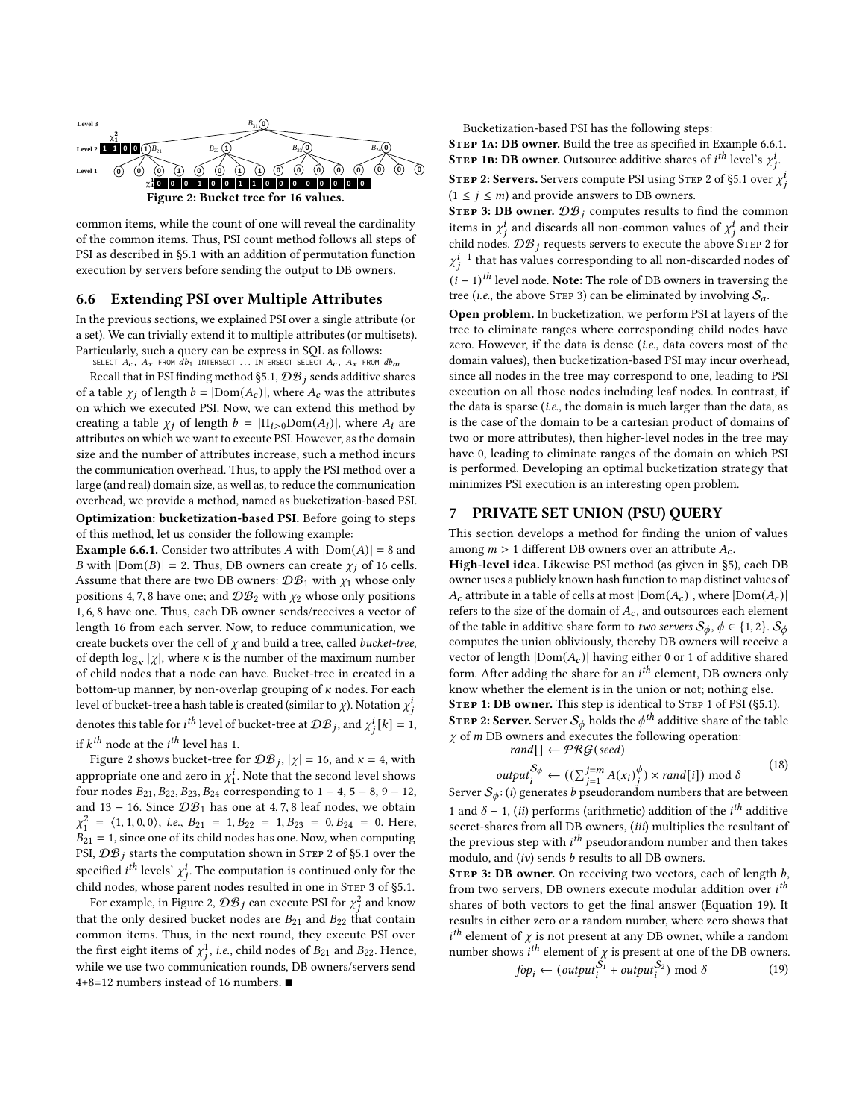<span id="page-9-2"></span>

common items, while the count of one will reveal the cardinality of the common items. Thus, PSI count method follows all steps of PSI as described in [§5.1](#page-4-2) with an addition of permutation function execution by servers before sending the output to DB owners.

#### <span id="page-9-1"></span>6.6 Extending PSI over Multiple Attributes

In the previous sections, we explained PSI over a single attribute (or a set). We can trivially extend it to multiple attributes (or multisets). Particularly, such a query can be express in SQL as follows:

SELECT  $A_c$ ,  $A_x$  from  $\overline{d}b_1$  intersect ... Intersect select  $A_c$ ,  $A_x$  from  $db_m$ Recall that in PSI finding method [§5.1,](#page-4-2)  $\mathcal{DB}_i$  sends additive shares of a table  $\chi_j$  of length  $b = |Dom(A_c)|$ , where  $A_c$  was the attributes on which we executed PSI. Now, we can extend this method by creating a table  $\chi_j$  of length  $b = |\Pi_{i>0}Dom(A_i)|$ , where  $A_i$  are attributes on which we want to execute PSI. However, as the domain size and the number of attributes increase, such a method incurs the communication overhead. Thus, to apply the PSI method over a large (and real) domain size, as well as, to reduce the communication overhead, we provide a method, named as bucketization-based PSI.

Optimization: bucketization-based PSI. Before going to steps of this method, let us consider the following example:

**Example [6.6.](#page-9-1)1.** Consider two attributes A with  $|Dom(A)| = 8$  and B with  $|Dom(B)| = 2$ . Thus, DB owners can create  $\chi_j$  of 16 cells. Assume that there are two DB owners:  $\mathcal{DB}_1$  with  $\chi_1$  whose only positions 4, 7, 8 have one; and  $\mathcal{DB}_2$  with  $\chi_2$  whose only positions 1, 6, 8 have one. Thus, each DB owner sends/receives a vector of length 16 from each server. Now, to reduce communication, we create buckets over the cell of  $\chi$  and build a tree, called *bucket-tree*, of depth  $\log_{\kappa} |\chi|$ , where  $\kappa$  is the number of the maximum number of child nodes that a node can have. Bucket-tree in created in a bottom-up manner, by non-overlap grouping of  $\kappa$  nodes. For each level of bucket-tree a hash table is created (similar to  $\chi$ ). Notation  $\chi_i^i$ denotes this table for  $i^{th}$  level of bucket-tree at  $\mathcal{DB}_j$ , and  $\chi^i_j[k] = 1$ ,

if  $k^{th}$  node at the  $i^{th}$  level has 1.

Figure [2](#page-9-2) shows bucket-tree for  $\mathcal{DB}_j$ ,  $|\chi| = 16$ , and  $\kappa = 4$ , with appropriate one and zero in  $\chi_1^i$  $\frac{1}{1}$ . Note that the second level shows four nodes  $B_{21}$ ,  $B_{22}$ ,  $B_{23}$ ,  $B_{24}$  corresponding to 1 − 4, 5 − 8, 9 − 12, and 13 – 16. Since  $\mathcal{DB}_1$  has one at 4, 7, 8 leaf nodes, we obtain  $\chi_1^2 = \langle 1, 1, 0, 0 \rangle$ , i.e.,  $B_{21} = 1, B_{22} = 1, B_{23} = 0, B_{24} = 0$ . Here,  $B_{21} = 1$ , since one of its child nodes has one. Now, when computing PSI,  $\mathcal{DB}_j$  starts the computation shown in STEP 2 of [§5.1](#page-4-2) over the specified  $i^{th}$  levels'  $\chi^i_j$ . The computation is continued only for the child nodes, whose parent nodes resulted in one in STEP 3 of [§5.1.](#page-4-2)

For example, in Figure [2,](#page-9-2)  $\mathcal{DB}_j$  can execute PSI for  $\chi^2_j$  and know that the only desired bucket nodes are  $B_{21}$  and  $B_{22}$  that contain common items. Thus, in the next round, they execute PSI over the first eight items of  $\chi^1_j$ , i.e., child nodes of  $B_{21}$  and  $B_{22}$ . Hence, while we use two communication rounds, DB owners/servers send 4+8=12 numbers instead of 16 numbers. ■

Bucketization-based PSI has the following steps:

STEP 1A: DB owner. Build the tree as specified in Example [6.6.](#page-9-1)1. **STEP 1B: DB owner.** Outsource additive shares of *i*<sup>th</sup> level's  $\chi^i_j$ . **STEP 2: Servers.** Servers compute PSI using STEP 2 of [§5.1](#page-4-2) over  $\chi^i_j$  $(1 \le j \le m)$  and provide answers to DB owners.

**STEP 3: DB owner.**  $\mathcal{DB}_i$  computes results to find the common items in  $\chi_i^i$  and discards all non-common values of  $\chi_i^i$  and their child nodes.  $\mathcal{DB}_j$  requests servers to execute the above STEP 2 for  $\chi_j^{i-1}$  that has values corresponding to all non-discarded nodes of  $(i-1)$ <sup>th</sup> level node. **Note:** The role of DB owners in traversing the tree (i.e., the above STEP 3) can be eliminated by involving  $S_a$ .

Open problem. In bucketization, we perform PSI at layers of the tree to eliminate ranges where corresponding child nodes have zero. However, if the data is dense (i.e., data covers most of the domain values), then bucketization-based PSI may incur overhead, since all nodes in the tree may correspond to one, leading to PSI execution on all those nodes including leaf nodes. In contrast, if the data is sparse (*i.e.*, the domain is much larger than the data, as is the case of the domain to be a cartesian product of domains of two or more attributes), then higher-level nodes in the tree may have 0, leading to eliminate ranges of the domain on which PSI is performed. Developing an optimal bucketization strategy that minimizes PSI execution is an interesting open problem.

## <span id="page-9-0"></span>7 PRIVATE SET UNION (PSU) QUERY

This section develops a method for finding the union of values among  $m > 1$  different DB owners over an attribute  $A_c$ .

High-level idea. Likewise PSI method (as given in [§5\)](#page-4-0), each DB owner uses a publicly known hash function to map distinct values of  $A_c$  attribute in a table of cells at most  $|Dom(A_c)|$ , where  $|Dom(A_c)|$ refers to the size of the domain of  $A_c$ , and outsources each element of the table in additive share form to *two servers*  $\mathcal{S}_{\phi}$ ,  $\phi \in \{1, 2\}$ .  $\mathcal{S}_{\phi}$ computes the union obliviously, thereby DB owners will receive a vector of length  $|Dom(A_c)|$  having either 0 or 1 of additive shared form. After adding the share for an  $i^{th}$  element, DB owners only know whether the element is in the union or not; nothing else. STEP 1: DB owner. This step is identical to STEP 1 of PSI ([§5.1\)](#page-4-2). **STEP 2: Server.** Server  $S_{\phi}$  holds the  $\phi^{th}$  additive share of the table  $\chi$  of  $m$  DB owners and executes the following operation: rand $[\cdot] \leftarrow \mathcal{PRG}(\text{seed})$ 

$$
output_i^{S_{\phi}} \leftarrow ((\sum_{j=1}^{j=m} A(x_i)^{\phi}_j) \times rand[i]) \text{ mod } \delta
$$
\n(18)

Server  $S_{\phi}$ : (*i*) generates *b* pseudorandom numbers that are between 1 and  $\delta$  – 1, (*ii*) performs (arithmetic) addition of the *i*<sup>th</sup> additive secret-shares from all DB owners, (iii) multiplies the resultant of the previous step with  $i^{th}$  pseudorandom number and then takes modulo, and  $(iv)$  sends  $b$  results to all DB owners.

STEP 3: DB owner. On receiving two vectors, each of length  $b$ , from two servers, DB owners execute modular addition over  $i<sup>th</sup>$ shares of both vectors to get the final answer (Equation [19\)](#page-9-3). It results in either zero or a random number, where zero shows that  $i<sup>th</sup>$  element of  $\chi$  is not present at any DB owner, while a random number shows  $i^{th}$  element of  $\chi$  is present at one of the DB owners.

<span id="page-9-3"></span>
$$
fop_i \leftarrow (output_i^{\hat{S_1}} + output_i^{\hat{S_2}}) \text{ mod } \delta \tag{19}
$$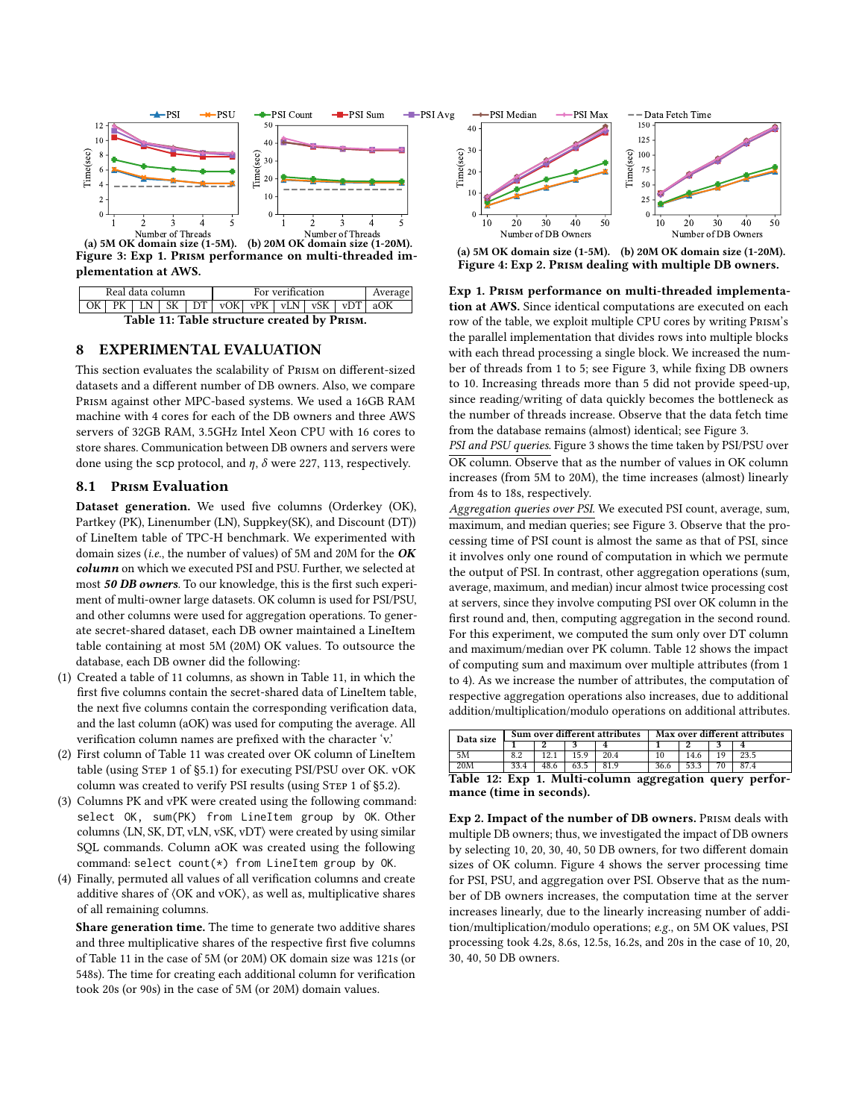<span id="page-10-1"></span>

<span id="page-10-0"></span>

|                  |  |  |  |  |  | For verification<br>$PK$   LN   SK   DT   vOK   vPK   vLN   vSK   vDT   aOK |  |  |  |  |  |
|------------------|--|--|--|--|--|-----------------------------------------------------------------------------|--|--|--|--|--|
| Real data column |  |  |  |  |  | Average                                                                     |  |  |  |  |  |

Table 11: Table structure created by Prism.

## 8 EXPERIMENTAL EVALUATION

This section evaluates the scalability of Prism on different-sized datasets and a different number of DB owners. Also, we compare Prism against other MPC-based systems. We used a 16GB RAM machine with 4 cores for each of the DB owners and three AWS servers of 32GB RAM, 3.5GHz Intel Xeon CPU with 16 cores to store shares. Communication between DB owners and servers were done using the scp protocol, and  $\eta$ ,  $\delta$  were 227, 113, respectively.

#### 8.1 Prism Evaluation

Dataset generation. We used five columns (Orderkey (OK), Partkey (PK), Linenumber (LN), Suppkey(SK), and Discount (DT)) of LineItem table of TPC-H benchmark. We experimented with domain sizes (i.e., the number of values) of 5M and 20M for the OK column on which we executed PSI and PSU. Further, we selected at most 50 DB owners. To our knowledge, this is the first such experiment of multi-owner large datasets. OK column is used for PSI/PSU, and other columns were used for aggregation operations. To generate secret-shared dataset, each DB owner maintained a LineItem table containing at most 5M (20M) OK values. To outsource the database, each DB owner did the following:

- (1) Created a table of 11 columns, as shown in Table [11,](#page-10-0) in which the first five columns contain the secret-shared data of LineItem table, the next five columns contain the corresponding verification data, and the last column (aOK) was used for computing the average. All verification column names are prefixed with the character 'v.'
- (2) First column of Table [11](#page-10-0) was created over OK column of LineItem table (using Step 1 of [§5.1\)](#page-4-2) for executing PSI/PSU over OK. vOK column was created to verify PSI results (using STEP 1 of [§5.2\)](#page-5-0).
- (3) Columns PK and vPK were created using the following command: select OK, sum(PK) from LineItem group by OK. Other columns ⟨LN, SK, DT, vLN, vSK, vDT⟩ were created by using similar SQL commands. Column aOK was created using the following command: select count(\*) from LineItem group by OK.
- (4) Finally, permuted all values of all verification columns and create additive shares of ⟨OK and vOK⟩, as well as, multiplicative shares of all remaining columns.

Share generation time. The time to generate two additive shares and three multiplicative shares of the respective first five columns of Table [11](#page-10-0) in the case of 5M (or 20M) OK domain size was 121s (or 548s). The time for creating each additional column for verification took 20s (or 90s) in the case of 5M (or 20M) domain values.

<span id="page-10-3"></span>

(a) 5M OK domain size (1-5M). (b) 20M OK domain size (1-20M). Figure 4: Exp 2. Prism dealing with multiple DB owners.

Exp 1. Prism performance on multi-threaded implementation at AWS. Since identical computations are executed on each row of the table, we exploit multiple CPU cores by writing Prism's the parallel implementation that divides rows into multiple blocks with each thread processing a single block. We increased the number of threads from 1 to 5; see Figure [3,](#page-10-1) while fixing DB owners to 10. Increasing threads more than 5 did not provide speed-up, since reading/writing of data quickly becomes the bottleneck as the number of threads increase. Observe that the data fetch time from the database remains (almost) identical; see Figure [3.](#page-10-1)

PSI and PSU queries. Figure [3](#page-10-1) shows the time taken by PSI/PSU over OK column. Observe that as the number of values in OK column increases (from 5M to 20M), the time increases (almost) linearly from 4s to 18s, respectively.

Aggregation queries over PSI. We executed PSI count, average, sum, maximum, and median queries; see Figure [3.](#page-10-1) Observe that the processing time of PSI count is almost the same as that of PSI, since it involves only one round of computation in which we permute the output of PSI. In contrast, other aggregation operations (sum, average, maximum, and median) incur almost twice processing cost at servers, since they involve computing PSI over OK column in the first round and, then, computing aggregation in the second round. For this experiment, we computed the sum only over DT column and maximum/median over PK column. Table [12](#page-10-2) shows the impact of computing sum and maximum over multiple attributes (from 1 to 4). As we increase the number of attributes, the computation of respective aggregation operations also increases, due to additional addition/multiplication/modulo operations on additional attributes.

<span id="page-10-2"></span>

| Data size |  | Sum over different attributes | Max over different attributes |  |  |  |  |
|-----------|--|-------------------------------|-------------------------------|--|--|--|--|
|           |  |                               |                               |  |  |  |  |
|           |  |                               |                               |  |  |  |  |
|           |  |                               |                               |  |  |  |  |
| -- -      |  |                               | . .                           |  |  |  |  |

Table 12: Exp 1. Multi-column aggregation query performance (time in seconds).

Exp 2. Impact of the number of DB owners. Prism deals with multiple DB owners; thus, we investigated the impact of DB owners by selecting 10, 20, 30, 40, 50 DB owners, for two different domain sizes of OK column. Figure [4](#page-10-3) shows the server processing time for PSI, PSU, and aggregation over PSI. Observe that as the number of DB owners increases, the computation time at the server increases linearly, due to the linearly increasing number of addition/multiplication/modulo operations; e.g., on 5M OK values, PSI processing took 4.2s, 8.6s, 12.5s, 16.2s, and 20s in the case of 10, 20, 30, 40, 50 DB owners.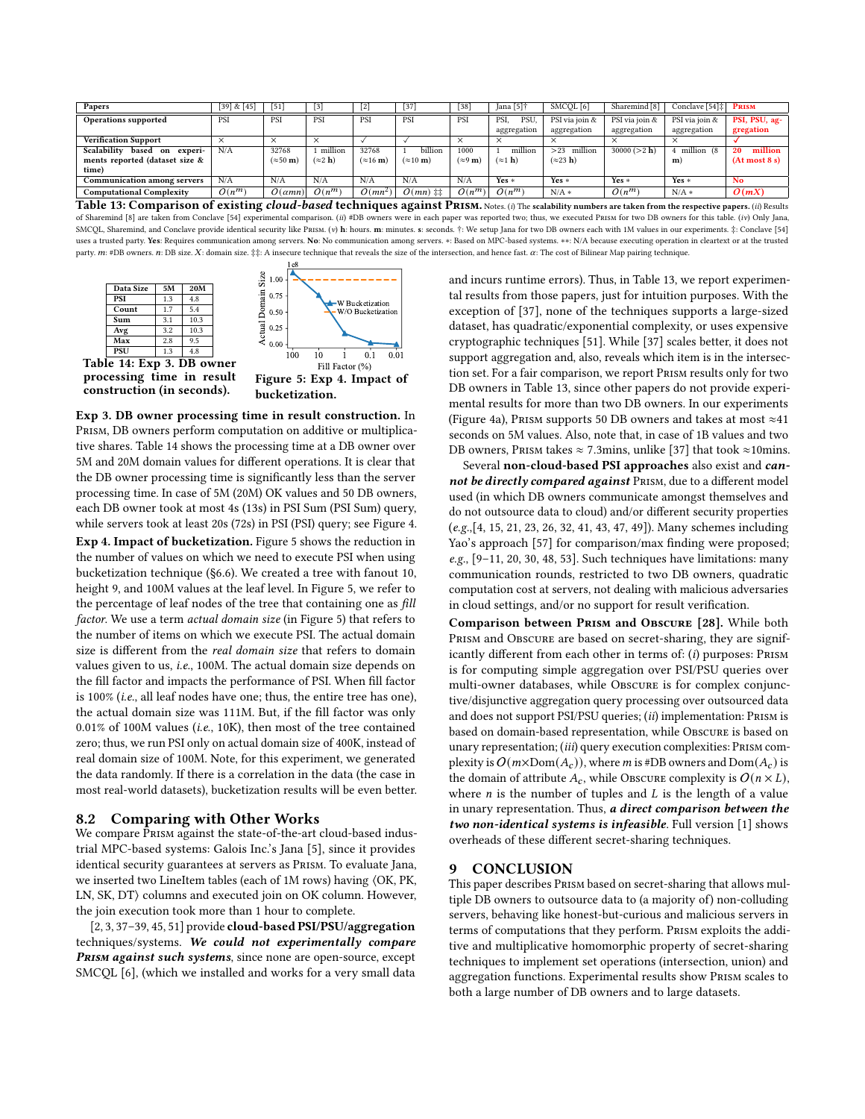<span id="page-11-1"></span>

| Papers                                | [39] & [45] | [51]                     | $\lceil 3 \rceil$       | $\lceil 2 \rceil$        | $[37]$                      | $[38]$                     | Jana [5]†               | SMCQL [6]                | Sharemind [8]  | Conclave $[54]$ : PRISM |               |
|---------------------------------------|-------------|--------------------------|-------------------------|--------------------------|-----------------------------|----------------------------|-------------------------|--------------------------|----------------|-------------------------|---------------|
| Operations supported                  | PSI         | PSI                      | PSI                     | PSI                      | PSI                         | PSI                        | PSI.<br>PSU.            | PSI via join &           | PSI via join & | PSI via join &          | PSI, PSU, ag- |
|                                       |             |                          |                         |                          |                             |                            | aggregation             | aggregation              | aggregation    | aggregation             | gregation     |
| <b>Verification Support</b>           | $\times$    | $\times$                 | $\times$                |                          |                             | $\times$                   | $\times$                | $\ddotsc$                |                |                         |               |
| Scalability<br>based<br>experi-<br>on | N/A         | 32768                    | million                 | 32768                    | billion                     | 1000                       | million                 | million<br>>23           | 30000 (>2 h)   | million (8              | million<br>20 |
| ments reported (dataset size &        |             | $(\approx 50 \text{ m})$ | $(\approx 2 \text{ h})$ | $(\approx 16 \text{ m})$ | $(\approx 10 \text{ m})$    | $(\approx 9 \,\mathrm{m})$ | $(\approx 1 \text{ h})$ | $(\approx 23 \text{ h})$ |                | m)                      | (At most 8 s) |
| time)                                 |             |                          |                         |                          |                             |                            |                         |                          |                |                         |               |
| <b>Communication among servers</b>    | N/A         | N/A                      | N/A                     | N/A                      | N/A                         | N/A                        | $Yes *$                 | $Yes *$                  | $Yes *$        | $Yes *$                 | No            |
| <b>Computational Complexity</b>       | $O(n^m)$    | $O(\alpha mn)$           | $O(n^m)$                | $O(mn^2)$                | $O(mn)$ $\ddagger \ddagger$ | $O(n^m)$                   | $O(n^m)$                | $N/A*$                   | $O(n^m)$       | $N/A*$                  | O(mX)         |

Table 13: Comparison of existing *cloud-based* techniques against PRISM. Notes. (i) The scalability numbers are taken from the respective papers. (ii) Results of Sharemind [\[8\]](#page-12-24) are taken from Conclave [\[54\]](#page-12-26) experimental comparison. (ii) #DB owners were in each paper was reported two; thus, we executed PRISM for two DB owners for this table. (iv) Only Jana, SMCQL, Sharemind, and Conclave provide identical security like Prism. (v) h: hours. m: minutes. s: seconds. †: We setup Jana for two DB owners each with 1M values in our experiments. ‡: Conclave [\[54\]](#page-12-26) uses a trusted party. Yes: Requires communication among servers. No: No communication among servers. \*: Based on MPC-based systems. \*\*: N/A because executing operation in cleartext or at the trusted party.  $m:$  #DB owners.  $n:$  DB size.  $X:$  domain size.  $\ddagger\ddagger:$  A insecure technique that reveals the size of the intersection, and hence fast.  $\alpha$ : The cost of Bilinear Map pairing technique.

<span id="page-11-0"></span>

processing time in result construction (in seconds).

Figure 5: Exp 4. Impact of bucketization.

Exp 3. DB owner processing time in result construction. In Prism, DB owners perform computation on additive or multiplicative shares. Table [14](#page-11-0) shows the processing time at a DB owner over 5M and 20M domain values for different operations. It is clear that the DB owner processing time is significantly less than the server processing time. In case of 5M (20M) OK values and 50 DB owners, each DB owner took at most 4s (13s) in PSI Sum (PSI Sum) query, while servers took at least 20s (72s) in PSI (PSI) query; see Figure [4.](#page-10-3)

Exp 4. Impact of bucketization. Figure [5](#page-11-0) shows the reduction in the number of values on which we need to execute PSI when using bucketization technique ([§6.6\)](#page-9-1). We created a tree with fanout 10, height 9, and 100M values at the leaf level. In Figure [5,](#page-11-0) we refer to the percentage of leaf nodes of the tree that containing one as fill factor. We use a term actual domain size (in Figure [5\)](#page-11-0) that refers to the number of items on which we execute PSI. The actual domain size is different from the real domain size that refers to domain values given to us, i.e., 100M. The actual domain size depends on the fill factor and impacts the performance of PSI. When fill factor is 100% (i.e., all leaf nodes have one; thus, the entire tree has one), the actual domain size was 111M. But, if the fill factor was only 0.01% of 100M values (i.e., 10K), then most of the tree contained zero; thus, we run PSI only on actual domain size of 400K, instead of real domain size of 100M. Note, for this experiment, we generated the data randomly. If there is a correlation in the data (the case in most real-world datasets), bucketization results will be even better.

#### 8.2 Comparing with Other Works

We compare Prism against the state-of-the-art cloud-based industrial MPC-based systems: Galois Inc.'s Jana [\[5\]](#page-12-25), since it provides identical security guarantees at servers as Prism. To evaluate Jana, we inserted two LineItem tables (each of 1M rows) having ⟨OK, PK, LN, SK, DT⟩ columns and executed join on OK column. However, the join execution took more than 1 hour to complete.

[\[2,](#page-12-46) [3,](#page-12-20) [37–](#page-12-47)[39,](#page-12-44) [45,](#page-12-45) [51\]](#page-12-37) provide cloud-based PSI/PSU/aggregation techniques/systems. We could not experimentally compare PRISM against such systems, since none are open-source, except SMCQL [\[6\]](#page-12-48), (which we installed and works for a very small data and incurs runtime errors). Thus, in Table [13,](#page-11-1) we report experimental results from those papers, just for intuition purposes. With the exception of [\[37\]](#page-12-47), none of the techniques supports a large-sized dataset, has quadratic/exponential complexity, or uses expensive cryptographic techniques [\[51\]](#page-12-37). While [\[37\]](#page-12-47) scales better, it does not support aggregation and, also, reveals which item is in the intersection set. For a fair comparison, we report Prism results only for two DB owners in Table [13,](#page-11-1) since other papers do not provide experimental results for more than two DB owners. In our experiments (Figure [4a\)](#page-10-3), Prism supports 50 DB owners and takes at most  $\approx$  41 seconds on 5M values. Also, note that, in case of 1B values and two DB owners, Prism takes  $\approx$  7.3mins, unlike [\[37\]](#page-12-47) that took  $\approx$ 10mins.

Several non-cloud-based PSI approaches also exist and cannot be directly compared against PRISM, due to a different model used (in which DB owners communicate amongst themselves and do not outsource data to cloud) and/or different security properties (e.g.,[\[4,](#page-12-49) [15,](#page-12-10) [21,](#page-12-50) [23,](#page-12-2) [26,](#page-12-4) [32,](#page-12-11) [41,](#page-12-7) [43,](#page-12-51) [47,](#page-12-12) [49\]](#page-12-13)). Many schemes including Yao's approach [\[57\]](#page-12-6) for comparison/max finding were proposed; e.g., [\[9](#page-12-52)[–11,](#page-12-53) [20,](#page-12-54) [30,](#page-12-55) [48,](#page-12-56) [53\]](#page-12-57). Such techniques have limitations: many communication rounds, restricted to two DB owners, quadratic computation cost at servers, not dealing with malicious adversaries in cloud settings, and/or no support for result verification.

Comparison between Prism and Obscure [\[28\]](#page-12-58). While both PRISM and OBSCURE are based on secret-sharing, they are significantly different from each other in terms of:  $(i)$  purposes: PRISM is for computing simple aggregation over PSI/PSU queries over multi-owner databases, while Obscure is for complex conjunctive/disjunctive aggregation query processing over outsourced data and does not support PSI/PSU queries; (ii) implementation: PRISM is based on domain-based representation, while OBSCURE is based on unary representation; (iii) query execution complexities: PRISM complexity is  $O(m \times \text{Dom}(A_c))$ , where *m* is #DB owners and Dom( $A_c$ ) is the domain of attribute  $A_c$ , while Obscure complexity is  $O(n \times L)$ , where  $n$  is the number of tuples and  $L$  is the length of a value in unary representation. Thus, a direct comparison between the two non-identical systems is infeasible. Full version [\[1\]](#page-12-27) shows overheads of these different secret-sharing techniques.

#### 9 CONCLUSION

This paper describes Prism based on secret-sharing that allows multiple DB owners to outsource data to (a majority of) non-colluding servers, behaving like honest-but-curious and malicious servers in terms of computations that they perform. Prism exploits the additive and multiplicative homomorphic property of secret-sharing techniques to implement set operations (intersection, union) and aggregation functions. Experimental results show Prism scales to both a large number of DB owners and to large datasets.